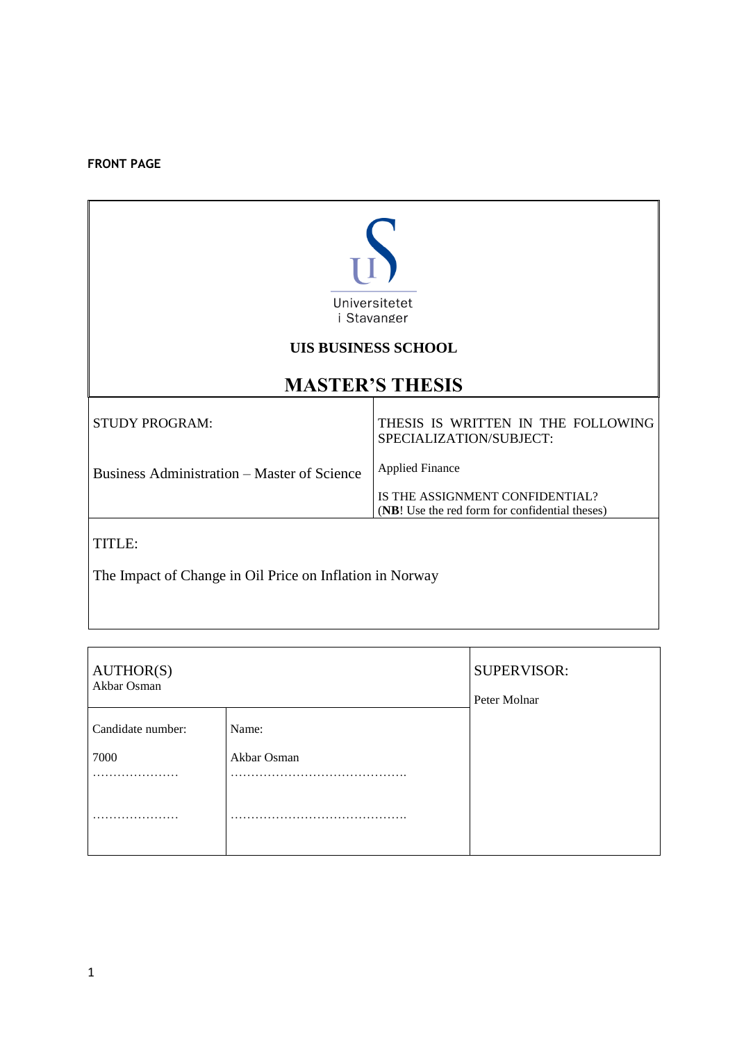#### **FRONT PAGE**



#### **UIS BUSINESS SCHOOL**

### **MASTER'S THESIS**

| STUDY PROGRAM:                              | THESIS IS WRITTEN IN THE FOLLOWING<br>SPECIALIZATION/SUBJECT:                     |
|---------------------------------------------|-----------------------------------------------------------------------------------|
| Business Administration – Master of Science | <b>Applied Finance</b>                                                            |
|                                             | IS THE ASSIGNMENT CONFIDENTIAL?<br>(NB! Use the red form for confidential theses) |
|                                             |                                                                                   |

TITLE:

The Impact of Change in Oil Price on Inflation in Norway

| AUTHOR(S)<br>Akbar Osman |             | <b>SUPERVISOR:</b><br>Peter Molnar |
|--------------------------|-------------|------------------------------------|
| Candidate number:        | Name:       |                                    |
| 7000<br>.                | Akbar Osman |                                    |
|                          | $\cdots$    |                                    |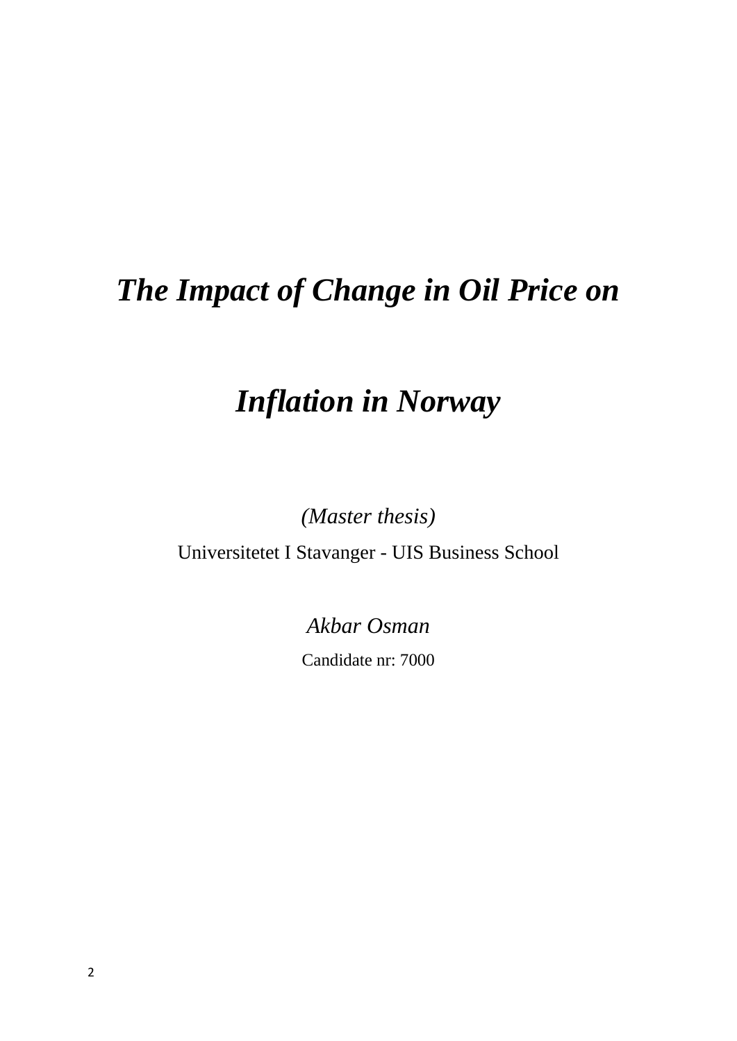# *The Impact of Change in Oil Price on*

# *Inflation in Norway*

*(Master thesis)* 

Universitetet I Stavanger - UIS Business School

*Akbar Osman*

Candidate nr: 7000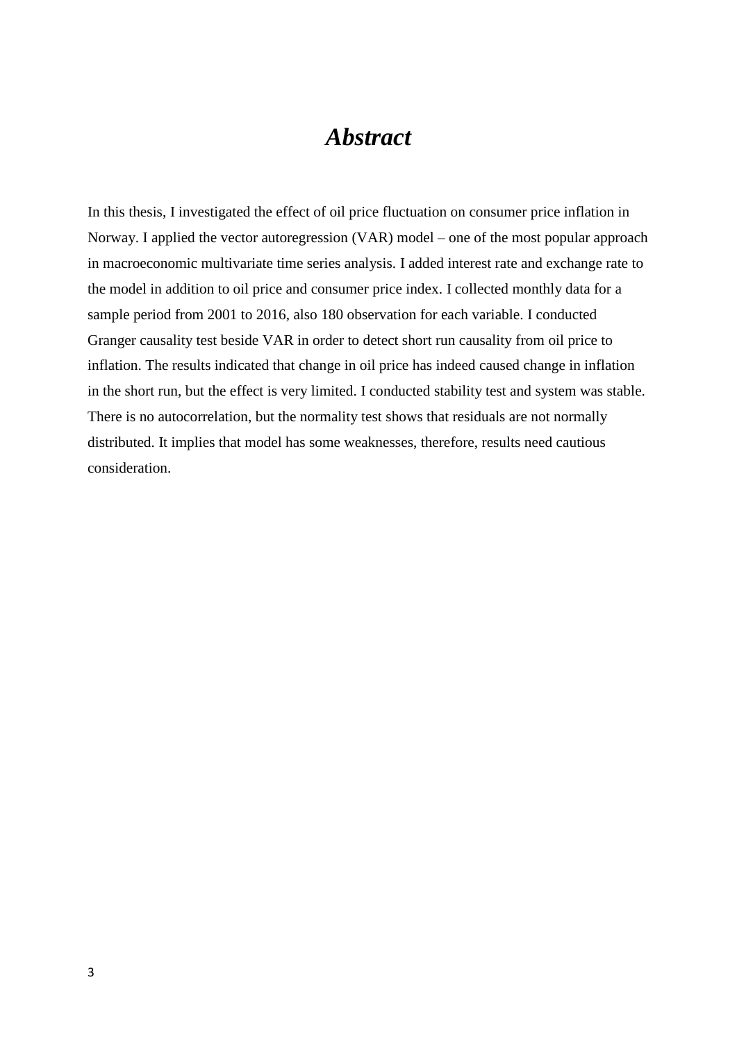### *Abstract*

In this thesis, I investigated the effect of oil price fluctuation on consumer price inflation in Norway. I applied the vector autoregression (VAR) model – one of the most popular approach in macroeconomic multivariate time series analysis. I added interest rate and exchange rate to the model in addition to oil price and consumer price index. I collected monthly data for a sample period from 2001 to 2016, also 180 observation for each variable. I conducted Granger causality test beside VAR in order to detect short run causality from oil price to inflation. The results indicated that change in oil price has indeed caused change in inflation in the short run, but the effect is very limited. I conducted stability test and system was stable. There is no autocorrelation, but the normality test shows that residuals are not normally distributed. It implies that model has some weaknesses, therefore, results need cautious consideration.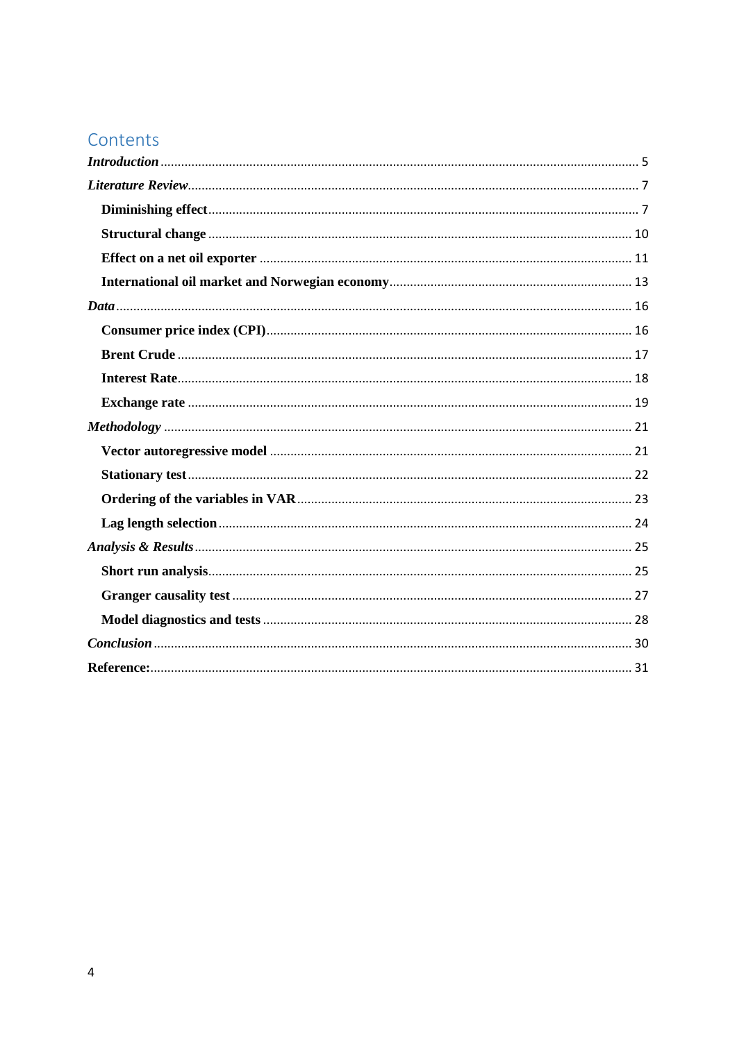### Contents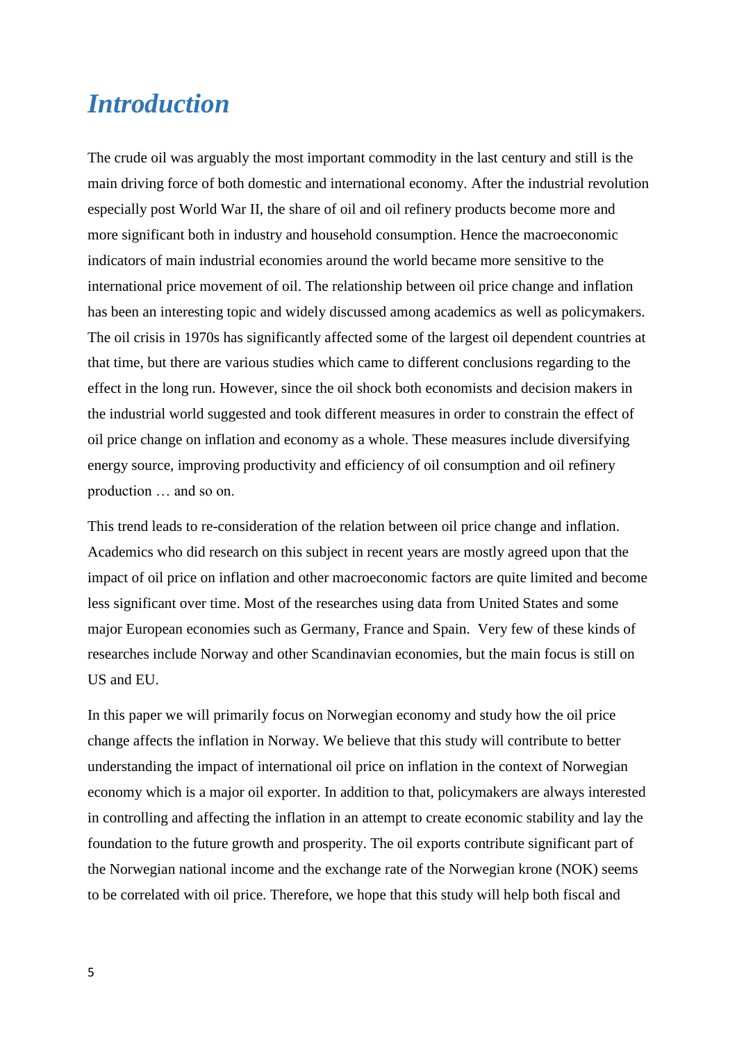### <span id="page-4-0"></span>*Introduction*

The crude oil was arguably the most important commodity in the last century and still is the main driving force of both domestic and international economy. After the industrial revolution especially post World War II, the share of oil and oil refinery products become more and more significant both in industry and household consumption. Hence the macroeconomic indicators of main industrial economies around the world became more sensitive to the international price movement of oil. The relationship between oil price change and inflation has been an interesting topic and widely discussed among academics as well as policymakers. The oil crisis in 1970s has significantly affected some of the largest oil dependent countries at that time, but there are various studies which came to different conclusions regarding to the effect in the long run. However, since the oil shock both economists and decision makers in the industrial world suggested and took different measures in order to constrain the effect of oil price change on inflation and economy as a whole. These measures include diversifying energy source, improving productivity and efficiency of oil consumption and oil refinery production … and so on.

This trend leads to re-consideration of the relation between oil price change and inflation. Academics who did research on this subject in recent years are mostly agreed upon that the impact of oil price on inflation and other macroeconomic factors are quite limited and become less significant over time. Most of the researches using data from United States and some major European economies such as Germany, France and Spain. Very few of these kinds of researches include Norway and other Scandinavian economies, but the main focus is still on US and EU.

In this paper we will primarily focus on Norwegian economy and study how the oil price change affects the inflation in Norway. We believe that this study will contribute to better understanding the impact of international oil price on inflation in the context of Norwegian economy which is a major oil exporter. In addition to that, policymakers are always interested in controlling and affecting the inflation in an attempt to create economic stability and lay the foundation to the future growth and prosperity. The oil exports contribute significant part of the Norwegian national income and the exchange rate of the Norwegian krone (NOK) seems to be correlated with oil price. Therefore, we hope that this study will help both fiscal and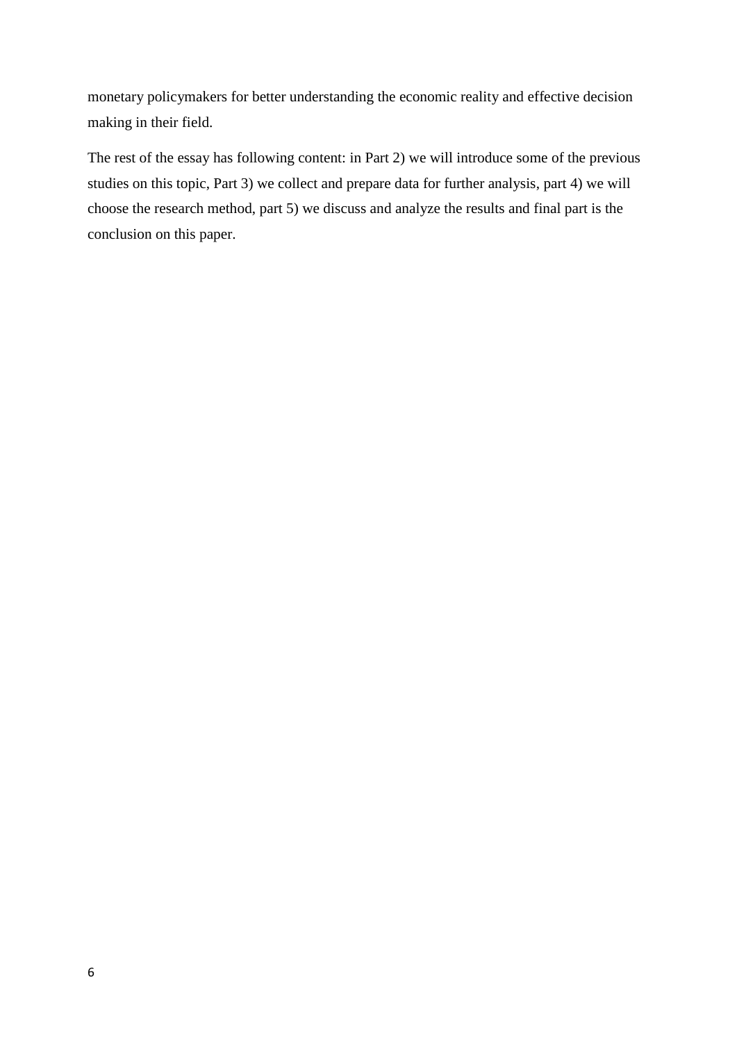monetary policymakers for better understanding the economic reality and effective decision making in their field.

The rest of the essay has following content: in Part 2) we will introduce some of the previous studies on this topic, Part 3) we collect and prepare data for further analysis, part 4) we will choose the research method, part 5) we discuss and analyze the results and final part is the conclusion on this paper.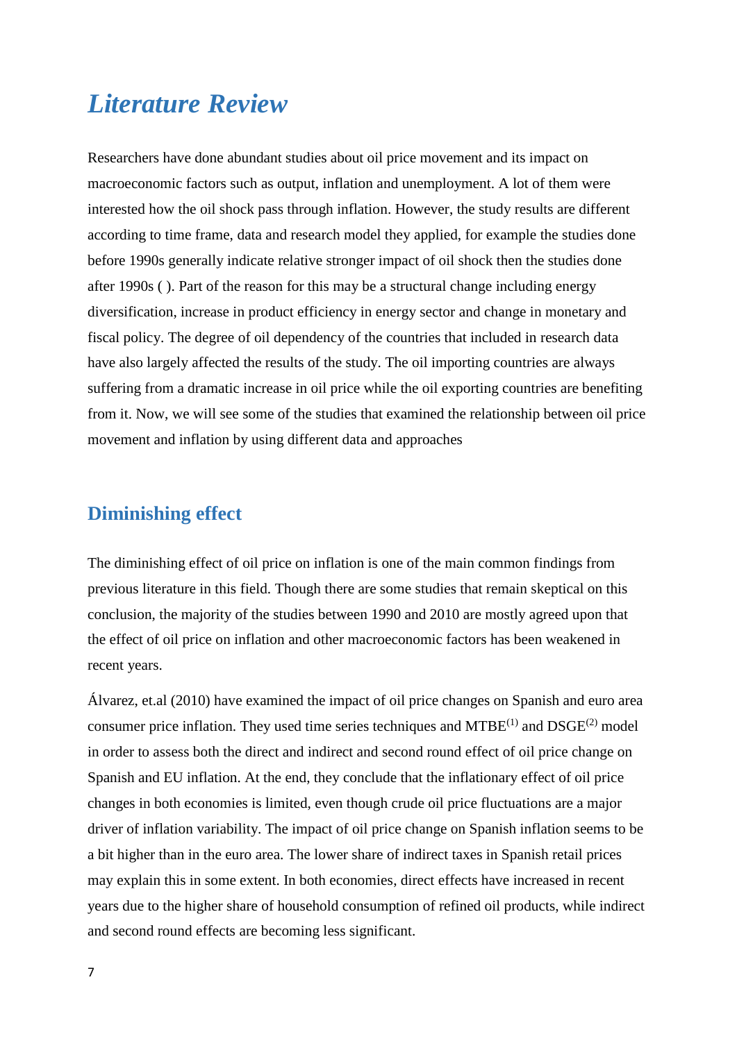## <span id="page-6-0"></span>*Literature Review*

Researchers have done abundant studies about oil price movement and its impact on macroeconomic factors such as output, inflation and unemployment. A lot of them were interested how the oil shock pass through inflation. However, the study results are different according to time frame, data and research model they applied, for example the studies done before 1990s generally indicate relative stronger impact of oil shock then the studies done after 1990s ( ). Part of the reason for this may be a structural change including energy diversification, increase in product efficiency in energy sector and change in monetary and fiscal policy. The degree of oil dependency of the countries that included in research data have also largely affected the results of the study. The oil importing countries are always suffering from a dramatic increase in oil price while the oil exporting countries are benefiting from it. Now, we will see some of the studies that examined the relationship between oil price movement and inflation by using different data and approaches

#### <span id="page-6-1"></span>**Diminishing effect**

The diminishing effect of oil price on inflation is one of the main common findings from previous literature in this field. Though there are some studies that remain skeptical on this conclusion, the majority of the studies between 1990 and 2010 are mostly agreed upon that the effect of oil price on inflation and other macroeconomic factors has been weakened in recent years.

Álvarez, et.al (2010) have examined the impact of oil price changes on Spanish and euro area consumer price inflation. They used time series techniques and  $MTBE^{(1)}$  and  $DSGE^{(2)}$  model in order to assess both the direct and indirect and second round effect of oil price change on Spanish and EU inflation. At the end, they conclude that the inflationary effect of oil price changes in both economies is limited, even though crude oil price fluctuations are a major driver of inflation variability. The impact of oil price change on Spanish inflation seems to be a bit higher than in the euro area. The lower share of indirect taxes in Spanish retail prices may explain this in some extent. In both economies, direct effects have increased in recent years due to the higher share of household consumption of refined oil products, while indirect and second round effects are becoming less significant.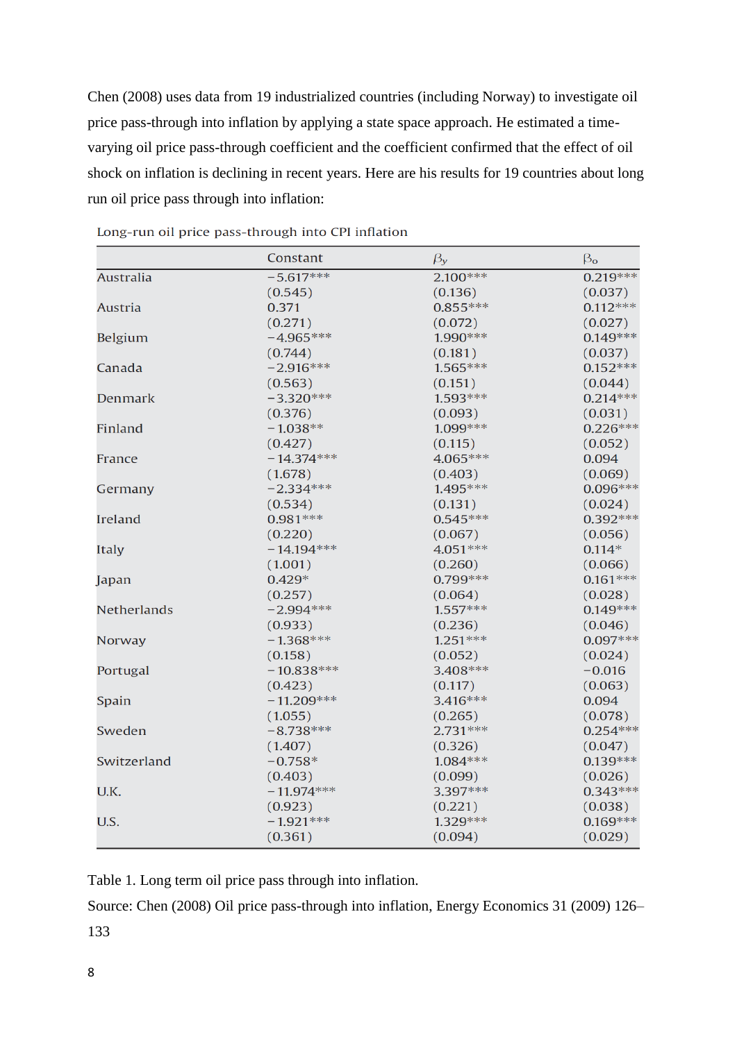Chen (2008) uses data from 19 industrialized countries (including Norway) to investigate oil price pass-through into inflation by applying a state space approach. He estimated a timevarying oil price pass-through coefficient and the coefficient confirmed that the effect of oil shock on inflation is declining in recent years. Here are his results for 19 countries about long run oil price pass through into inflation:

|                    | Constant     | $\beta_y$  | $\beta_{o}$ |
|--------------------|--------------|------------|-------------|
| <b>Australia</b>   | $-5.617***$  | $2.100***$ | $0.219***$  |
|                    | (0.545)      | (0.136)    | (0.037)     |
| Austria            | 0.371        | $0.855***$ | $0.112***$  |
|                    | (0.271)      | (0.072)    | (0.027)     |
| Belgium            | $-4.965***$  | 1.990 ***  | $0.149***$  |
|                    | (0.744)      | (0.181)    | (0.037)     |
| Canada             | $-2.916***$  | $1.565***$ | $0.152***$  |
|                    | (0.563)      | (0.151)    | (0.044)     |
| Denmark            | $-3.320***$  | 1.593 ***  | $0.214***$  |
|                    | (0.376)      | (0.093)    | (0.031)     |
| Finland            | $-1.038**$   | 1.099***   | $0.226***$  |
|                    | (0.427)      | (0.115)    | (0.052)     |
| France             | $-14.374***$ | 4.065 ***  | 0.094       |
|                    | (1.678)      | (0.403)    | (0.069)     |
| Germany            | $-2.334***$  | $1.495***$ | $0.096***$  |
|                    | (0.534)      | (0.131)    | (0.024)     |
| Ireland            | $0.981***$   | $0.545***$ | $0.392***$  |
|                    | (0.220)      | (0.067)    | (0.056)     |
| <b>Italy</b>       | $-14.194***$ | 4.051 ***  | $0.114*$    |
|                    | (1.001)      | (0.260)    | (0.066)     |
| Japan              | $0.429*$     | $0.799***$ | $0.161***$  |
|                    | (0.257)      | (0.064)    | (0.028)     |
| <b>Netherlands</b> | $-2.994***$  | $1.557***$ | $0.149***$  |
|                    | (0.933)      | (0.236)    | (0.046)     |
| Norway             | $-1.368***$  | $1.251***$ | $0.097***$  |
|                    | (0.158)      | (0.052)    | (0.024)     |
| Portugal           | $-10.838***$ | 3.408 ***  | $-0.016$    |
|                    | (0.423)      | (0.117)    | (0.063)     |
| Spain              | $-11.209***$ | $3.416***$ | 0.094       |
|                    | (1.055)      | (0.265)    | (0.078)     |
| Sweden             | $-8.738***$  | $2.731***$ | $0.254***$  |
|                    | (1.407)      | (0.326)    | (0.047)     |
| Switzerland        | $-0.758*$    | $1.084***$ | $0.139***$  |
|                    | (0.403)      | (0.099)    | (0.026)     |
| U.K.               | $-11.974***$ | 3.397***   | $0.343***$  |
|                    | (0.923)      | (0.221)    | (0.038)     |
| U.S.               | $-1.921***$  | 1.329 ***  | $0.169***$  |
|                    | (0.361)      | (0.094)    | (0.029)     |

Long-run oil price pass-through into CPI inflation

Table 1. Long term oil price pass through into inflation.

Source: Chen (2008) Oil price pass-through into inflation, Energy Economics 31 (2009) 126– 133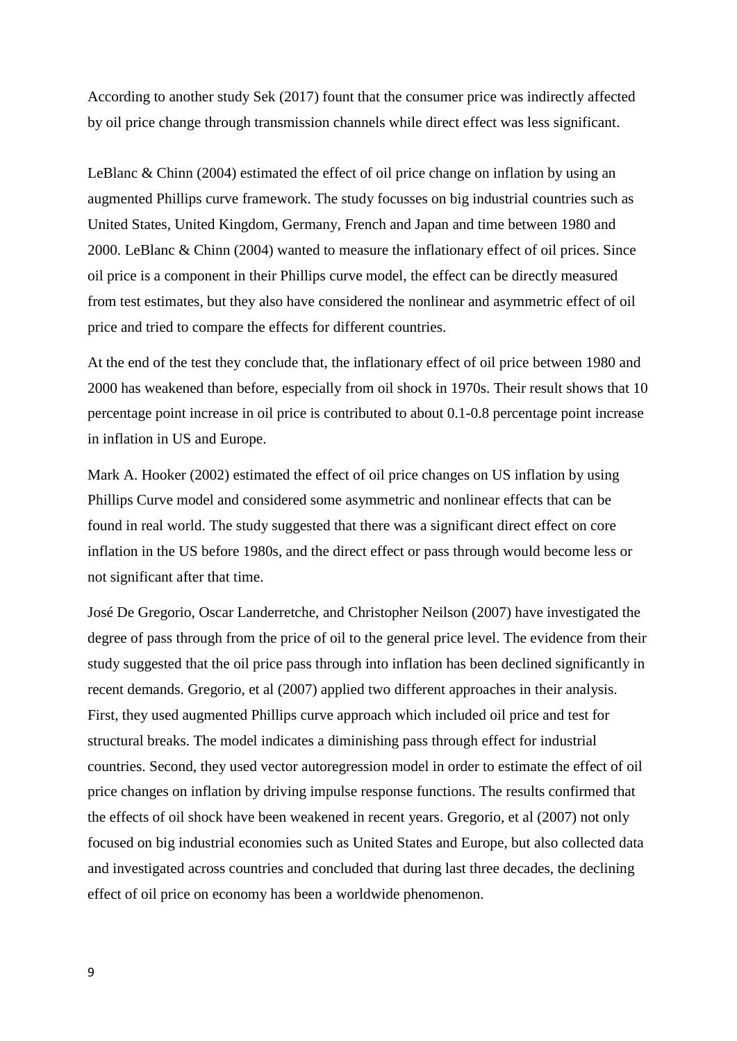According to another study Sek (2017) fount that the consumer price was indirectly affected by oil price change through transmission channels while direct effect was less significant.

LeBlanc & Chinn (2004) estimated the effect of oil price change on inflation by using an augmented Phillips curve framework. The study focusses on big industrial countries such as United States, United Kingdom, Germany, French and Japan and time between 1980 and 2000. LeBlanc & Chinn (2004) wanted to measure the inflationary effect of oil prices. Since oil price is a component in their Phillips curve model, the effect can be directly measured from test estimates, but they also have considered the nonlinear and asymmetric effect of oil price and tried to compare the effects for different countries.

At the end of the test they conclude that, the inflationary effect of oil price between 1980 and 2000 has weakened than before, especially from oil shock in 1970s. Their result shows that 10 percentage point increase in oil price is contributed to about 0.1-0.8 percentage point increase in inflation in US and Europe.

Mark A. Hooker (2002) estimated the effect of oil price changes on US inflation by using Phillips Curve model and considered some asymmetric and nonlinear effects that can be found in real world. The study suggested that there was a significant direct effect on core inflation in the US before 1980s, and the direct effect or pass through would become less or not significant after that time.

José De Gregorio, Oscar Landerretche, and Christopher Neilson (2007) have investigated the degree of pass through from the price of oil to the general price level. The evidence from their study suggested that the oil price pass through into inflation has been declined significantly in recent demands. Gregorio, et al (2007) applied two different approaches in their analysis. First, they used augmented Phillips curve approach which included oil price and test for structural breaks. The model indicates a diminishing pass through effect for industrial countries. Second, they used vector autoregression model in order to estimate the effect of oil price changes on inflation by driving impulse response functions. The results confirmed that the effects of oil shock have been weakened in recent years. Gregorio, et al (2007) not only focused on big industrial economies such as United States and Europe, but also collected data and investigated across countries and concluded that during last three decades, the declining effect of oil price on economy has been a worldwide phenomenon.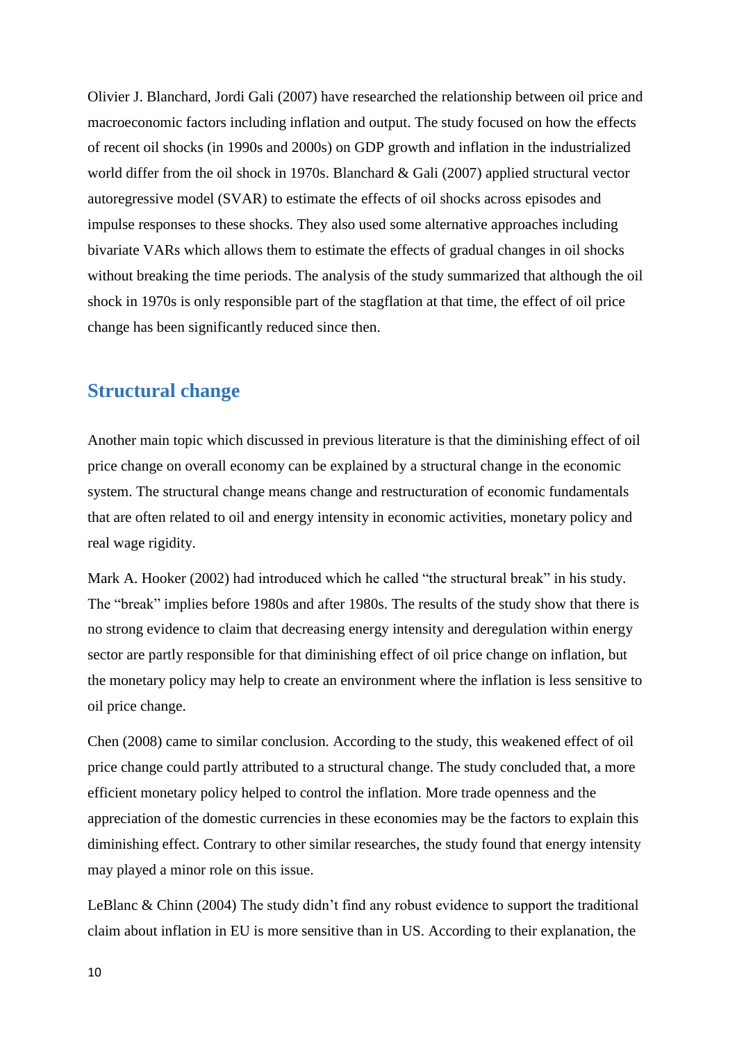Olivier J. Blanchard, Jordi Gali (2007) have researched the relationship between oil price and macroeconomic factors including inflation and output. The study focused on how the effects of recent oil shocks (in 1990s and 2000s) on GDP growth and inflation in the industrialized world differ from the oil shock in 1970s. Blanchard & Gali (2007) applied structural vector autoregressive model (SVAR) to estimate the effects of oil shocks across episodes and impulse responses to these shocks. They also used some alternative approaches including bivariate VARs which allows them to estimate the effects of gradual changes in oil shocks without breaking the time periods. The analysis of the study summarized that although the oil shock in 1970s is only responsible part of the stagflation at that time, the effect of oil price change has been significantly reduced since then.

### <span id="page-9-0"></span>**Structural change**

Another main topic which discussed in previous literature is that the diminishing effect of oil price change on overall economy can be explained by a structural change in the economic system. The structural change means change and restructuration of economic fundamentals that are often related to oil and energy intensity in economic activities, monetary policy and real wage rigidity.

Mark A. Hooker (2002) had introduced which he called "the structural break" in his study. The "break" implies before 1980s and after 1980s. The results of the study show that there is no strong evidence to claim that decreasing energy intensity and deregulation within energy sector are partly responsible for that diminishing effect of oil price change on inflation, but the monetary policy may help to create an environment where the inflation is less sensitive to oil price change.

Chen (2008) came to similar conclusion. According to the study, this weakened effect of oil price change could partly attributed to a structural change. The study concluded that, a more efficient monetary policy helped to control the inflation. More trade openness and the appreciation of the domestic currencies in these economies may be the factors to explain this diminishing effect. Contrary to other similar researches, the study found that energy intensity may played a minor role on this issue.

LeBlanc & Chinn (2004) The study didn't find any robust evidence to support the traditional claim about inflation in EU is more sensitive than in US. According to their explanation, the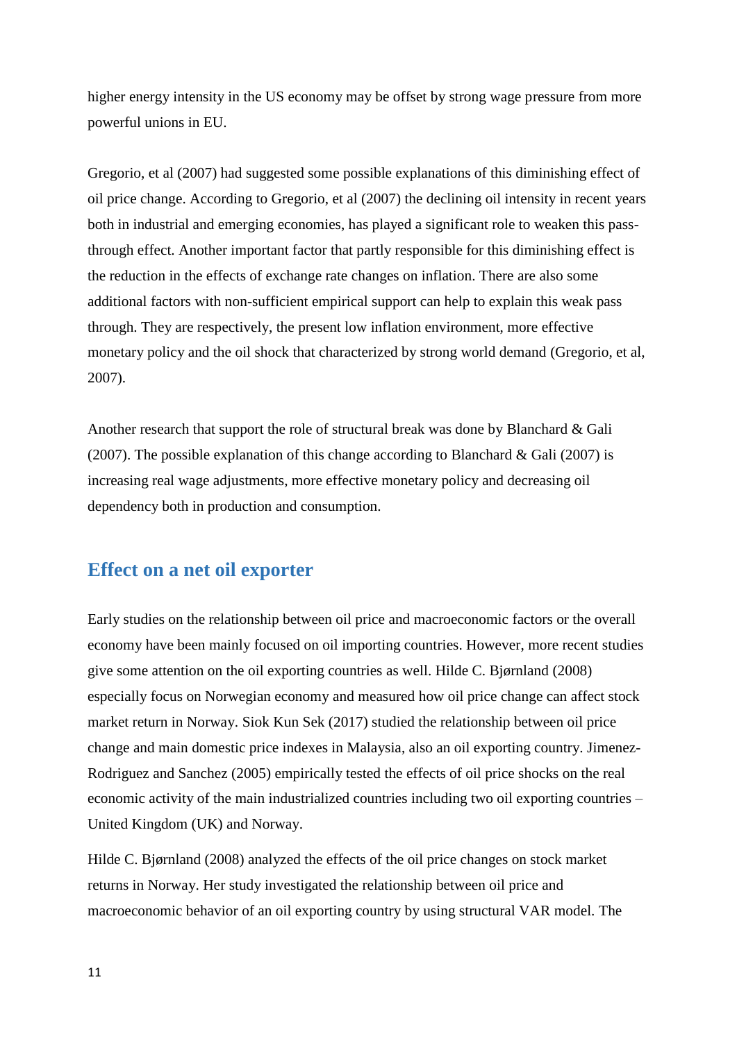higher energy intensity in the US economy may be offset by strong wage pressure from more powerful unions in EU.

Gregorio, et al (2007) had suggested some possible explanations of this diminishing effect of oil price change. According to Gregorio, et al (2007) the declining oil intensity in recent years both in industrial and emerging economies, has played a significant role to weaken this passthrough effect. Another important factor that partly responsible for this diminishing effect is the reduction in the effects of exchange rate changes on inflation. There are also some additional factors with non-sufficient empirical support can help to explain this weak pass through. They are respectively, the present low inflation environment, more effective monetary policy and the oil shock that characterized by strong world demand (Gregorio, et al, 2007).

Another research that support the role of structural break was done by Blanchard & Gali (2007). The possible explanation of this change according to Blanchard & Gali (2007) is increasing real wage adjustments, more effective monetary policy and decreasing oil dependency both in production and consumption.

#### <span id="page-10-0"></span>**Effect on a net oil exporter**

Early studies on the relationship between oil price and macroeconomic factors or the overall economy have been mainly focused on oil importing countries. However, more recent studies give some attention on the oil exporting countries as well. Hilde C. Bjørnland (2008) especially focus on Norwegian economy and measured how oil price change can affect stock market return in Norway. Siok Kun Sek (2017) studied the relationship between oil price change and main domestic price indexes in Malaysia, also an oil exporting country. Jimenez-Rodriguez and Sanchez (2005) empirically tested the effects of oil price shocks on the real economic activity of the main industrialized countries including two oil exporting countries – United Kingdom (UK) and Norway.

Hilde C. Bjørnland (2008) analyzed the effects of the oil price changes on stock market returns in Norway. Her study investigated the relationship between oil price and macroeconomic behavior of an oil exporting country by using structural VAR model. The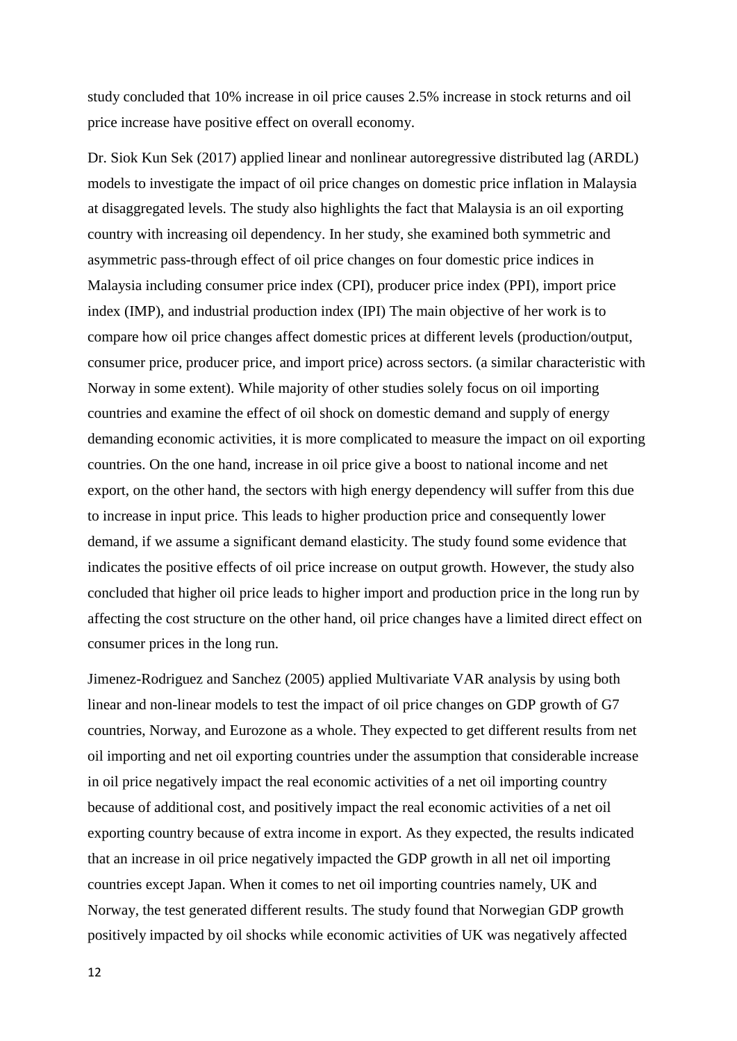study concluded that 10% increase in oil price causes 2.5% increase in stock returns and oil price increase have positive effect on overall economy.

Dr. Siok Kun Sek (2017) applied linear and nonlinear autoregressive distributed lag (ARDL) models to investigate the impact of oil price changes on domestic price inflation in Malaysia at disaggregated levels. The study also highlights the fact that Malaysia is an oil exporting country with increasing oil dependency. In her study, she examined both symmetric and asymmetric pass-through effect of oil price changes on four domestic price indices in Malaysia including consumer price index (CPI), producer price index (PPI), import price index (IMP), and industrial production index (IPI) The main objective of her work is to compare how oil price changes affect domestic prices at different levels (production/output, consumer price, producer price, and import price) across sectors. (a similar characteristic with Norway in some extent). While majority of other studies solely focus on oil importing countries and examine the effect of oil shock on domestic demand and supply of energy demanding economic activities, it is more complicated to measure the impact on oil exporting countries. On the one hand, increase in oil price give a boost to national income and net export, on the other hand, the sectors with high energy dependency will suffer from this due to increase in input price. This leads to higher production price and consequently lower demand, if we assume a significant demand elasticity. The study found some evidence that indicates the positive effects of oil price increase on output growth. However, the study also concluded that higher oil price leads to higher import and production price in the long run by affecting the cost structure on the other hand, oil price changes have a limited direct effect on consumer prices in the long run.

Jimenez-Rodriguez and Sanchez (2005) applied Multivariate VAR analysis by using both linear and non-linear models to test the impact of oil price changes on GDP growth of G7 countries, Norway, and Eurozone as a whole. They expected to get different results from net oil importing and net oil exporting countries under the assumption that considerable increase in oil price negatively impact the real economic activities of a net oil importing country because of additional cost, and positively impact the real economic activities of a net oil exporting country because of extra income in export. As they expected, the results indicated that an increase in oil price negatively impacted the GDP growth in all net oil importing countries except Japan. When it comes to net oil importing countries namely, UK and Norway, the test generated different results. The study found that Norwegian GDP growth positively impacted by oil shocks while economic activities of UK was negatively affected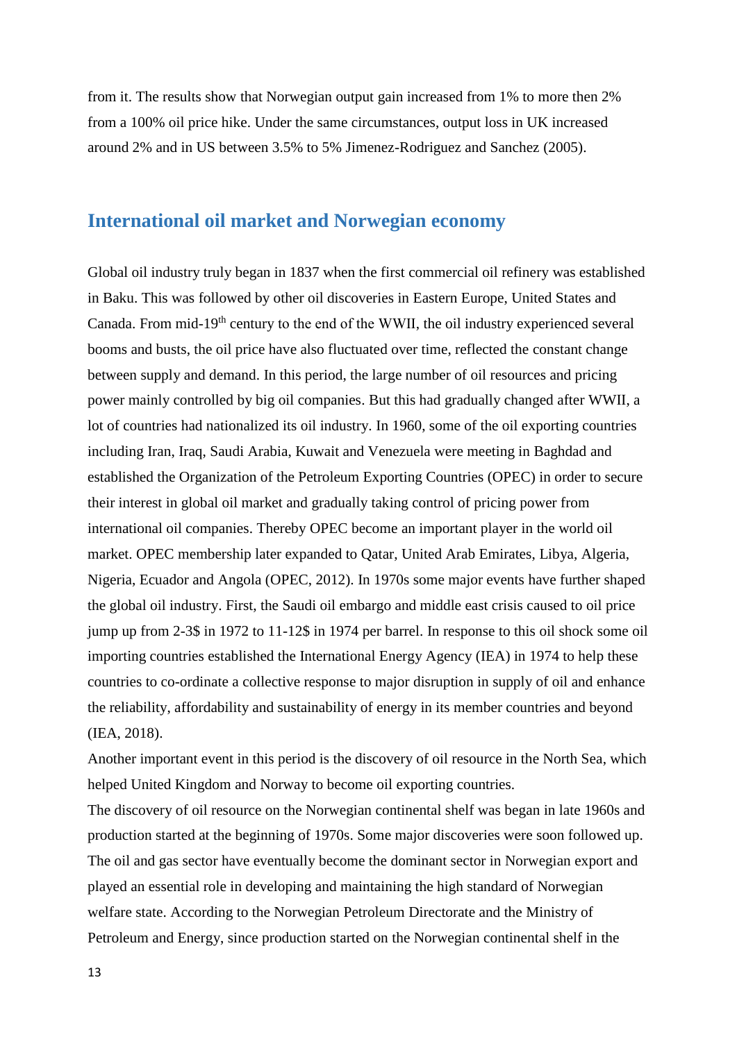from it. The results show that Norwegian output gain increased from 1% to more then 2% from a 100% oil price hike. Under the same circumstances, output loss in UK increased around 2% and in US between 3.5% to 5% Jimenez-Rodriguez and Sanchez (2005).

#### <span id="page-12-0"></span>**International oil market and Norwegian economy**

Global oil industry truly began in 1837 when the first commercial oil refinery was established in Baku. This was followed by other oil discoveries in Eastern Europe, United States and Canada. From mid-19<sup>th</sup> century to the end of the WWII, the oil industry experienced several booms and busts, the oil price have also fluctuated over time, reflected the constant change between supply and demand. In this period, the large number of oil resources and pricing power mainly controlled by big oil companies. But this had gradually changed after WWⅡ, a lot of countries had nationalized its oil industry. In 1960, some of the oil exporting countries including Iran, Iraq, Saudi Arabia, Kuwait and Venezuela were meeting in Baghdad and established the Organization of the Petroleum Exporting Countries (OPEC) in order to secure their interest in global oil market and gradually taking control of pricing power from international oil companies. Thereby OPEC become an important player in the world oil market. OPEC membership later expanded to Qatar, United Arab Emirates, Libya, Algeria, Nigeria, Ecuador and Angola (OPEC, 2012). In 1970s some major events have further shaped the global oil industry. First, the Saudi oil embargo and middle east crisis caused to oil price jump up from 2-3\$ in 1972 to 11-12\$ in 1974 per barrel. In response to this oil shock some oil importing countries established the International Energy Agency (IEA) in 1974 to help these countries to co-ordinate a collective response to major disruption in supply of oil and enhance the reliability, affordability and sustainability of energy in its member countries and beyond (IEA, 2018).

Another important event in this period is the discovery of oil resource in the North Sea, which helped United Kingdom and Norway to become oil exporting countries.

The discovery of oil resource on the Norwegian continental shelf was began in late 1960s and production started at the beginning of 1970s. Some major discoveries were soon followed up. The oil and gas sector have eventually become the dominant sector in Norwegian export and played an essential role in developing and maintaining the high standard of Norwegian welfare state. According to the Norwegian Petroleum Directorate and the Ministry of Petroleum and Energy, since production started on the Norwegian continental shelf in the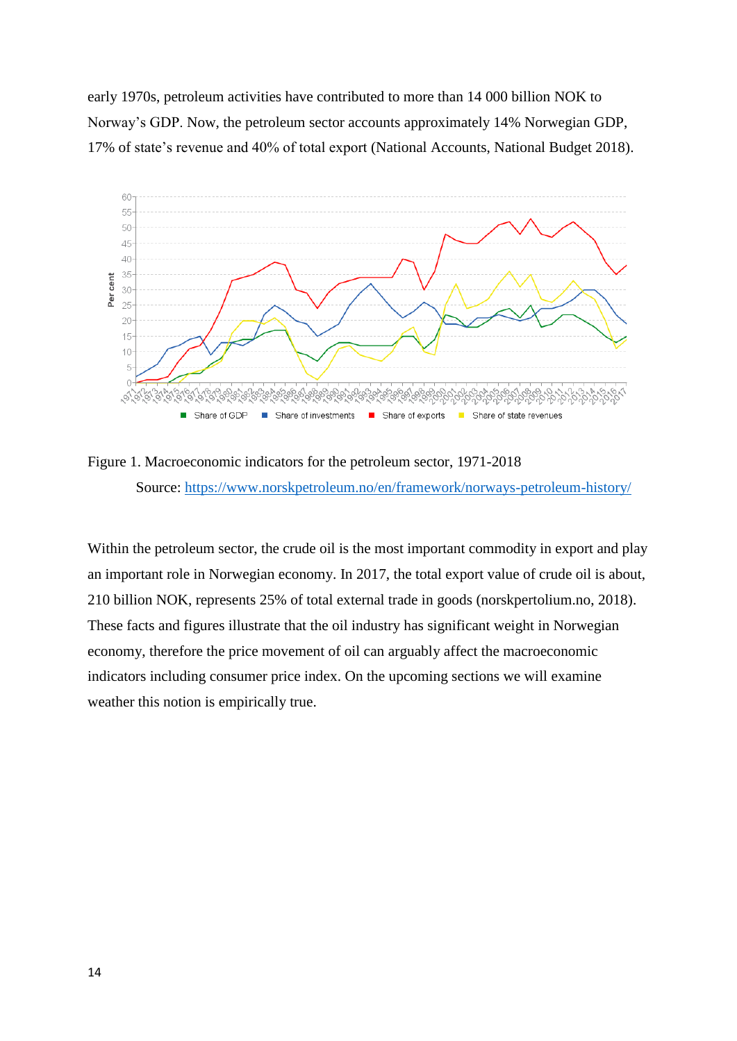early 1970s, petroleum activities have contributed to more than 14 000 billion NOK to Norway's GDP. Now, the petroleum sector accounts approximately 14% Norwegian GDP, 17% of state's revenue and 40% of total export (National Accounts, National Budget 2018).



Figure 1. Macroeconomic indicators for the petroleum sector, 1971-2018 Source:<https://www.norskpetroleum.no/en/framework/norways-petroleum-history/>

Within the petroleum sector, the crude oil is the most important commodity in export and play an important role in Norwegian economy. In 2017, the total export value of crude oil is about, 210 billion NOK, represents 25% of total external trade in goods (norskpertolium.no, 2018). These facts and figures illustrate that the oil industry has significant weight in Norwegian economy, therefore the price movement of oil can arguably affect the macroeconomic indicators including consumer price index. On the upcoming sections we will examine weather this notion is empirically true.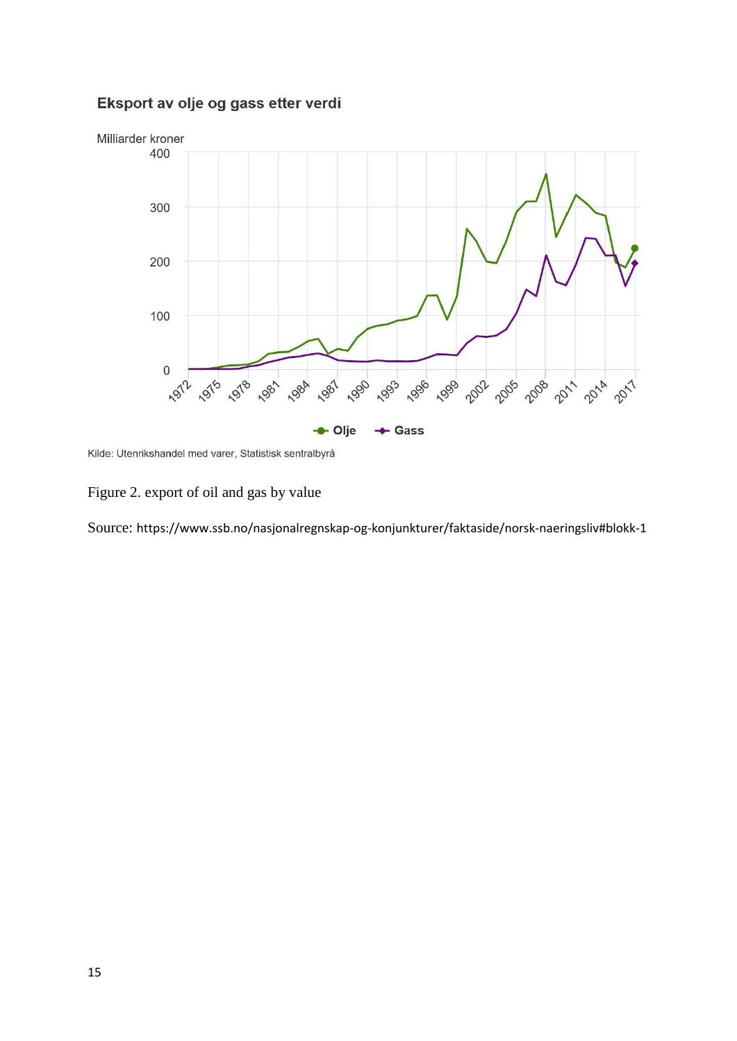#### Eksport av olje og gass etter verdi



Kilde: Utenrikshandel med varer, Statistisk sentralbyrå

Figure 2. export of oil and gas by value

Source: https://www.ssb.no/nasjonalregnskap-og-konjunkturer/faktaside/norsk-naeringsliv#blokk-1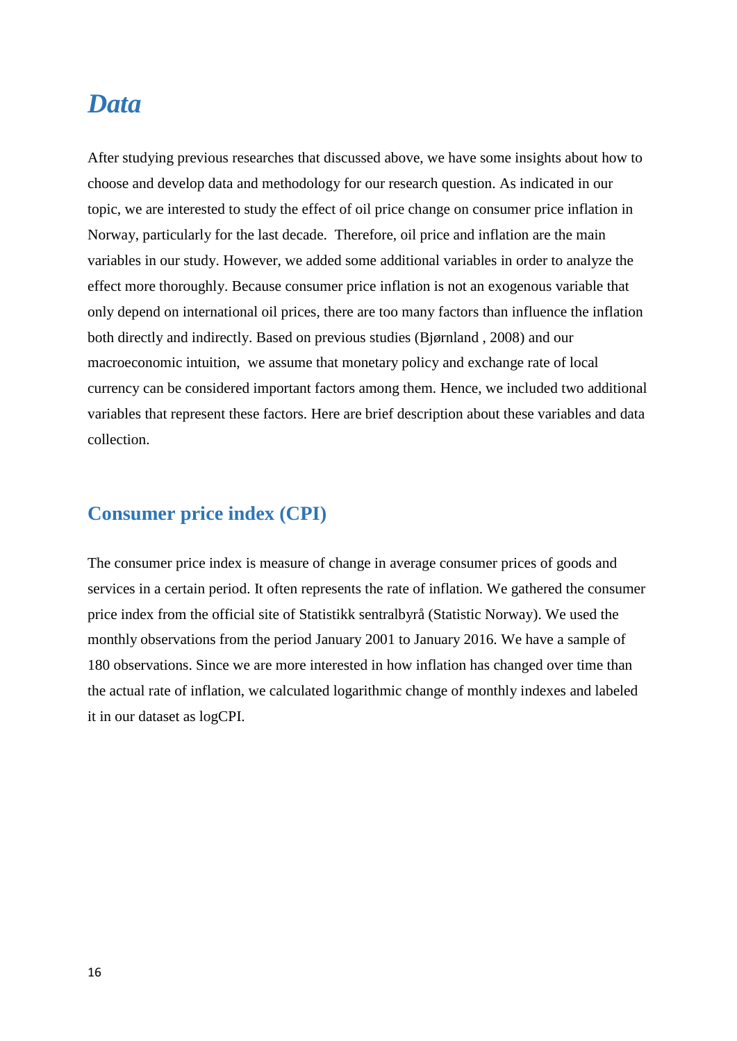### <span id="page-15-0"></span>*Data*

After studying previous researches that discussed above, we have some insights about how to choose and develop data and methodology for our research question. As indicated in our topic, we are interested to study the effect of oil price change on consumer price inflation in Norway, particularly for the last decade. Therefore, oil price and inflation are the main variables in our study. However, we added some additional variables in order to analyze the effect more thoroughly. Because consumer price inflation is not an exogenous variable that only depend on international oil prices, there are too many factors than influence the inflation both directly and indirectly. Based on previous studies (Bjørnland , 2008) and our macroeconomic intuition, we assume that monetary policy and exchange rate of local currency can be considered important factors among them. Hence, we included two additional variables that represent these factors. Here are brief description about these variables and data collection.

### <span id="page-15-1"></span>**Consumer price index (CPI)**

The consumer price index is measure of change in average consumer prices of goods and services in a certain period. It often represents the rate of inflation. We gathered the consumer price index from the official site of Statistikk sentralbyrå (Statistic Norway). We used the monthly observations from the period January 2001 to January 2016. We have a sample of 180 observations. Since we are more interested in how inflation has changed over time than the actual rate of inflation, we calculated logarithmic change of monthly indexes and labeled it in our dataset as logCPI.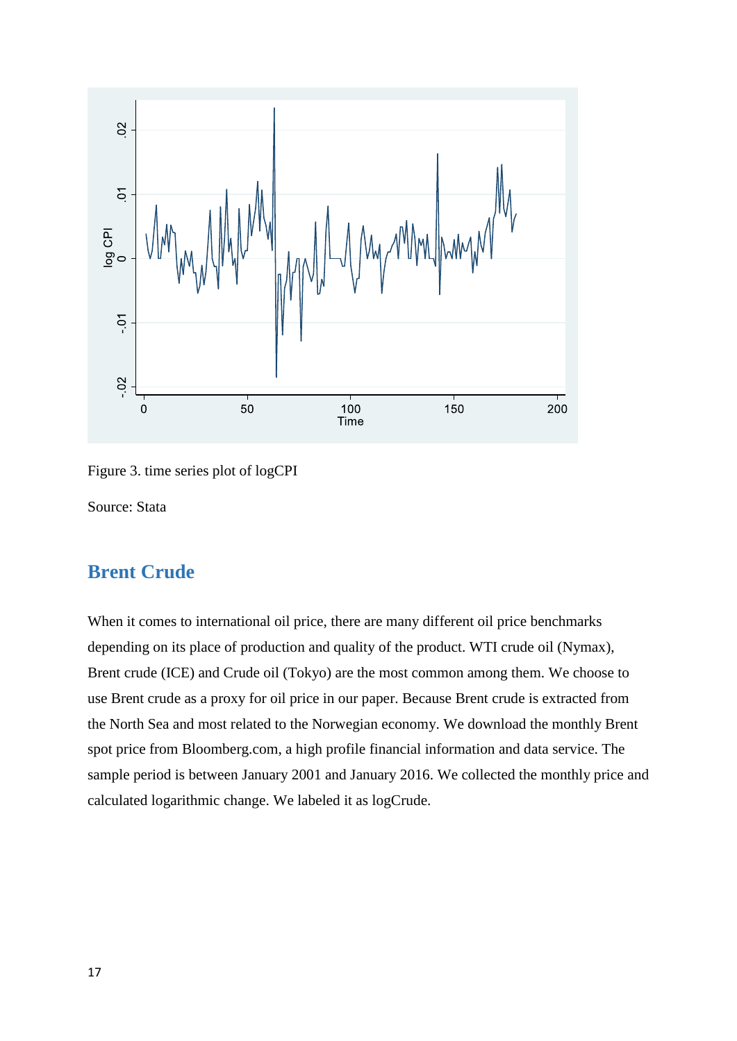

Figure 3. time series plot of logCPI

Source: Stata

#### <span id="page-16-0"></span>**Brent Crude**

When it comes to international oil price, there are many different oil price benchmarks depending on its place of production and quality of the product. WTI crude oil (Nymax), Brent crude (ICE) and Crude oil (Tokyo) are the most common among them. We choose to use Brent crude as a proxy for oil price in our paper. Because Brent crude is extracted from the North Sea and most related to the Norwegian economy. We download the monthly Brent spot price from Bloomberg.com, a high profile financial information and data service. The sample period is between January 2001 and January 2016. We collected the monthly price and calculated logarithmic change. We labeled it as logCrude.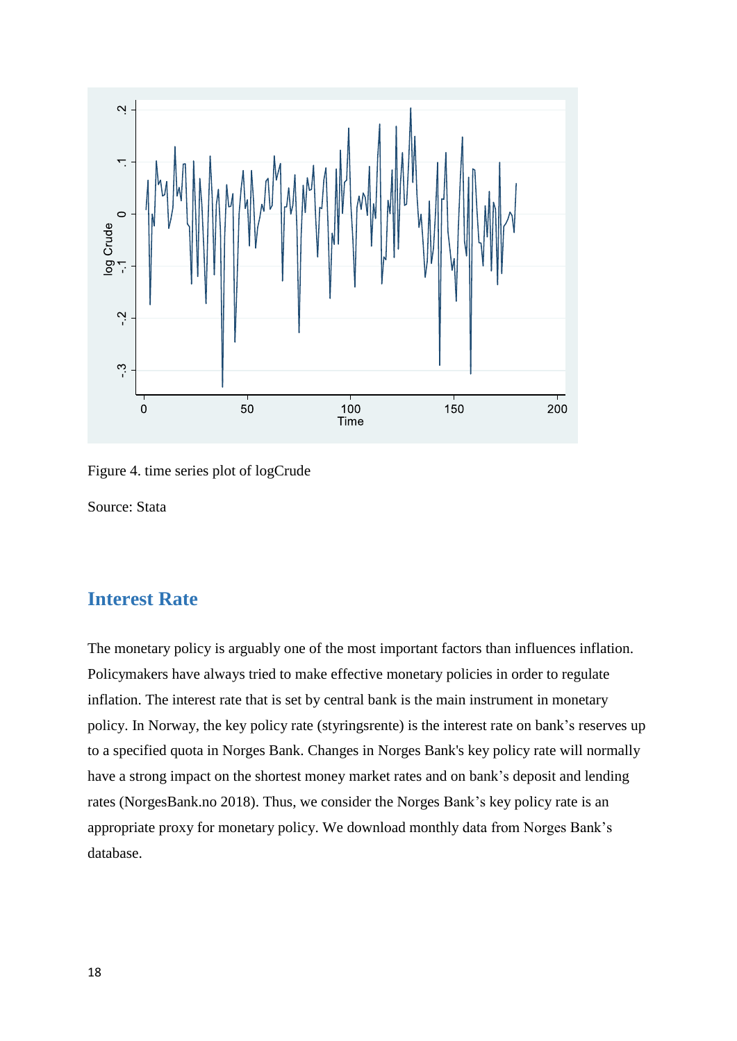



Source: Stata

#### <span id="page-17-0"></span>**Interest Rate**

The monetary policy is arguably one of the most important factors than influences inflation. Policymakers have always tried to make effective monetary policies in order to regulate inflation. The interest rate that is set by central bank is the main instrument in monetary policy. In Norway, the key policy rate (styringsrente) is the interest rate on bank's reserves up to a specified quota in Norges Bank. Changes in Norges Bank's key policy rate will normally have a strong impact on the shortest money market rates and on bank's deposit and lending rates (NorgesBank.no 2018). Thus, we consider the Norges Bank's key policy rate is an appropriate proxy for monetary policy. We download monthly data from Norges Bank's database.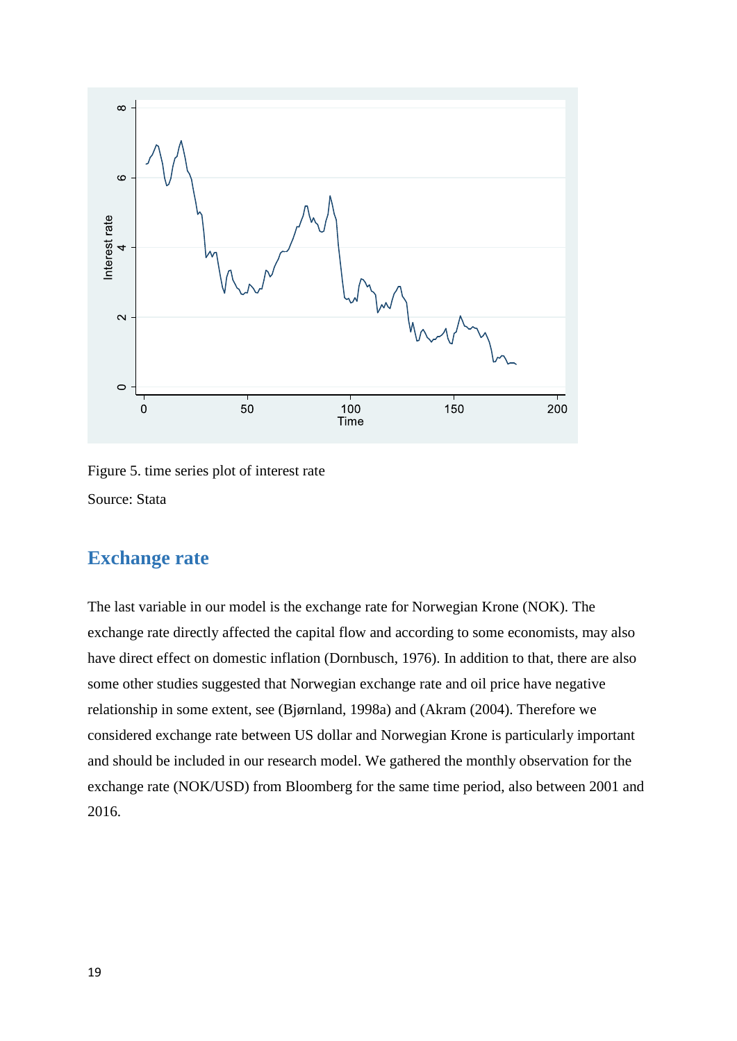

Figure 5. time series plot of interest rate Source: Stata

#### <span id="page-18-0"></span>**Exchange rate**

The last variable in our model is the exchange rate for Norwegian Krone (NOK). The exchange rate directly affected the capital flow and according to some economists, may also have direct effect on domestic inflation (Dornbusch, 1976). In addition to that, there are also some other studies suggested that Norwegian exchange rate and oil price have negative relationship in some extent, see (Bjørnland, 1998a) and (Akram (2004). Therefore we considered exchange rate between US dollar and Norwegian Krone is particularly important and should be included in our research model. We gathered the monthly observation for the exchange rate (NOK/USD) from Bloomberg for the same time period, also between 2001 and 2016.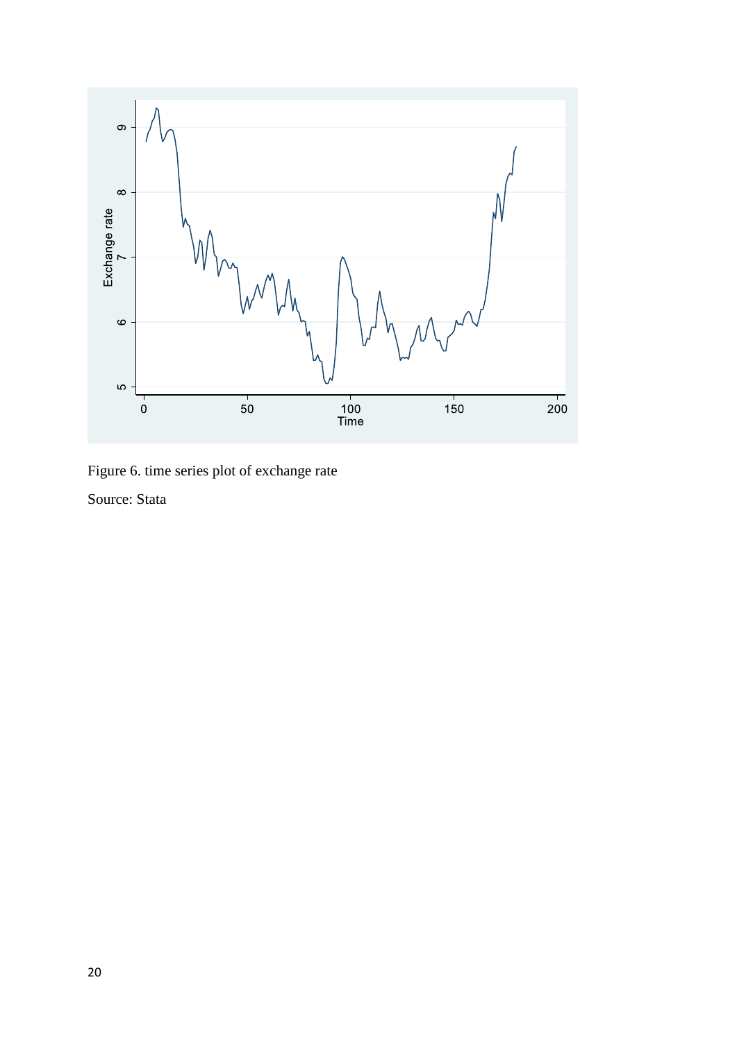

Figure 6. time series plot of exchange rate Source: Stata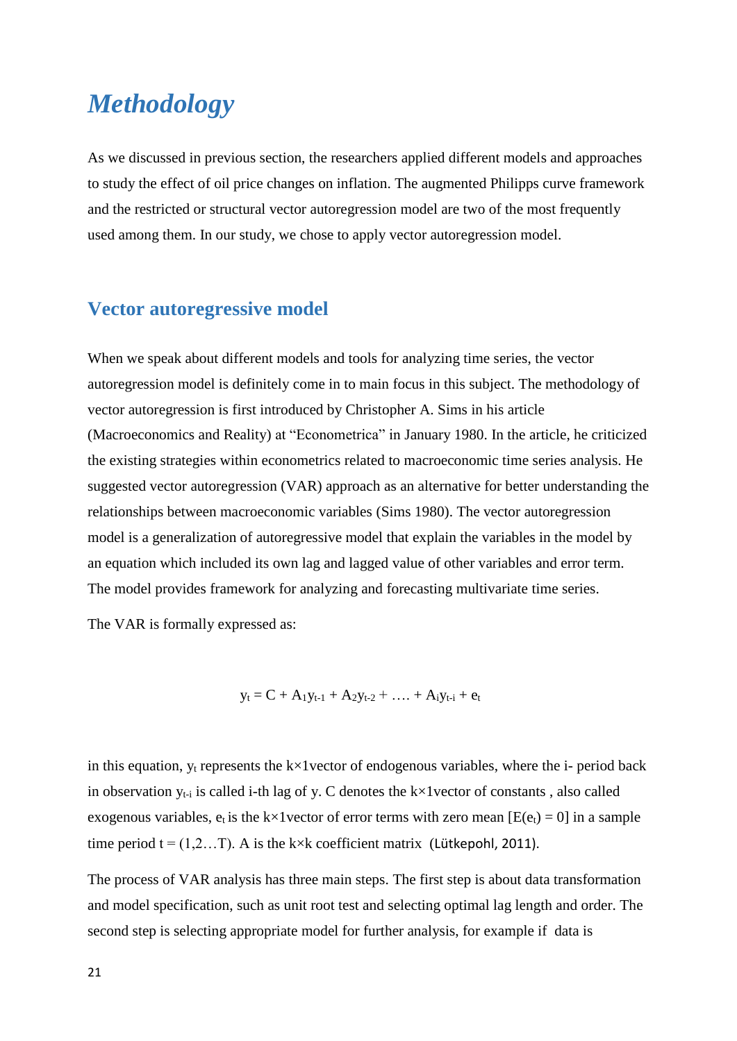## <span id="page-20-0"></span>*Methodology*

As we discussed in previous section, the researchers applied different models and approaches to study the effect of oil price changes on inflation. The augmented Philipps curve framework and the restricted or structural vector autoregression model are two of the most frequently used among them. In our study, we chose to apply vector autoregression model.

#### <span id="page-20-1"></span>**Vector autoregressive model**

When we speak about different models and tools for analyzing time series, the vector autoregression model is definitely come in to main focus in this subject. The methodology of vector autoregression is first introduced by Christopher A. Sims in his article (Macroeconomics and Reality) at "Econometrica" in January 1980. In the article, he criticized the existing strategies within econometrics related to macroeconomic time series analysis. He suggested vector autoregression (VAR) approach as an alternative for better understanding the relationships between macroeconomic variables (Sims 1980). The vector autoregression model is a generalization of autoregressive model that explain the variables in the model by an equation which included its own lag and lagged value of other variables and error term. The model provides framework for analyzing and forecasting multivariate time series.

The VAR is formally expressed as:

 $y_t = C + A_1y_{t-1} + A_2y_{t-2} + \ldots + A_iy_{t-i} + e_t$ 

in this equation,  $y_t$  represents the k×1 vector of endogenous variables, where the i- period back in observation  $y_{t-i}$  is called i-th lag of y. C denotes the k $\times 1$  vector of constants, also called exogenous variables,  $e_t$  is the k×1 vector of error terms with zero mean [E( $e_t$ ) = 0] in a sample time period  $t = (1, 2...T)$ . A is the k×k coefficient matrix (Lütkepohl, 2011).

The process of VAR analysis has three main steps. The first step is about data transformation and model specification, such as unit root test and selecting optimal lag length and order. The second step is selecting appropriate model for further analysis, for example if data is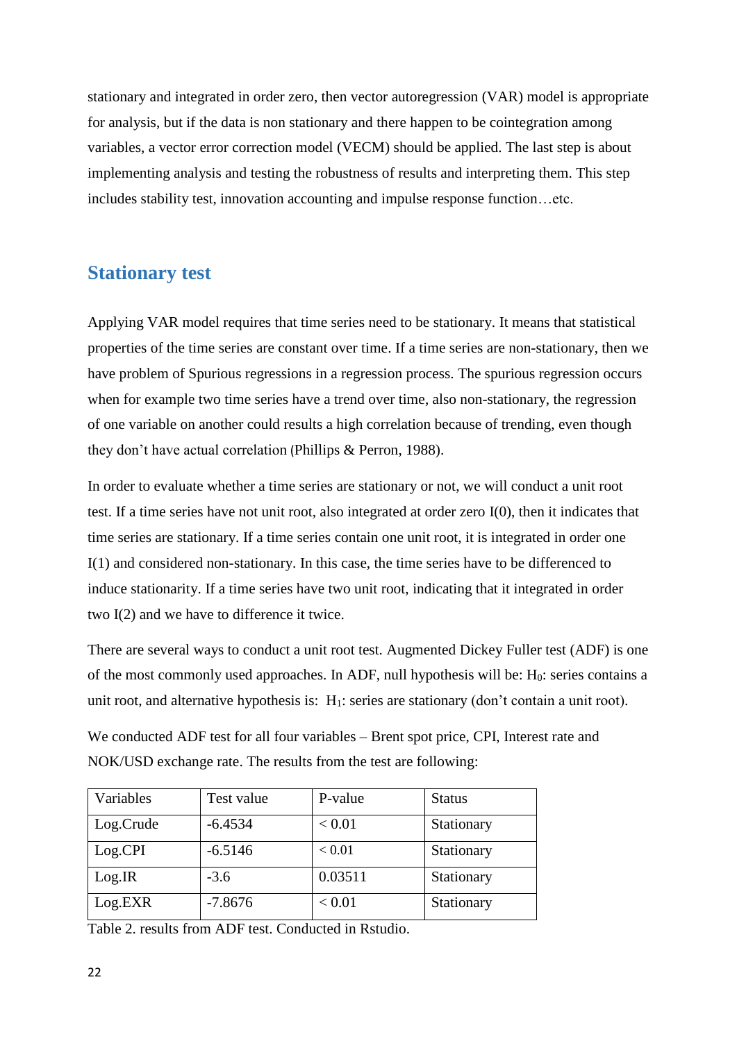stationary and integrated in order zero, then vector autoregression (VAR) model is appropriate for analysis, but if the data is non stationary and there happen to be cointegration among variables, a vector error correction model (VECM) should be applied. The last step is about implementing analysis and testing the robustness of results and interpreting them. This step includes stability test, innovation accounting and impulse response function…etc.

#### <span id="page-21-0"></span>**Stationary test**

Applying VAR model requires that time series need to be stationary. It means that statistical properties of the time series are constant over time. If a time series are non-stationary, then we have problem of Spurious regressions in a regression process. The spurious regression occurs when for example two time series have a trend over time, also non-stationary, the regression of one variable on another could results a high correlation because of trending, even though they don't have actual correlation (Phillips & Perron, 1988).

In order to evaluate whether a time series are stationary or not, we will conduct a unit root test. If a time series have not unit root, also integrated at order zero I(0), then it indicates that time series are stationary. If a time series contain one unit root, it is integrated in order one I(1) and considered non-stationary. In this case, the time series have to be differenced to induce stationarity. If a time series have two unit root, indicating that it integrated in order two I(2) and we have to difference it twice.

There are several ways to conduct a unit root test. Augmented Dickey Fuller test (ADF) is one of the most commonly used approaches. In ADF, null hypothesis will be:  $H_0$ : series contains a unit root, and alternative hypothesis is: H<sub>1</sub>: series are stationary (don't contain a unit root).

We conducted ADF test for all four variables – Brent spot price, CPI, Interest rate and NOK/USD exchange rate. The results from the test are following:

| Variables | Test value | P-value | <b>Status</b> |
|-----------|------------|---------|---------------|
| Log.Crude | $-6.4534$  | < 0.01  | Stationary    |
| Log.CPI   | $-6.5146$  | < 0.01  | Stationary    |
| Log.IR    | $-3.6$     | 0.03511 | Stationary    |
| Log.EXR   | $-7.8676$  | < 0.01  | Stationary    |

Table 2. results from ADF test. Conducted in Rstudio.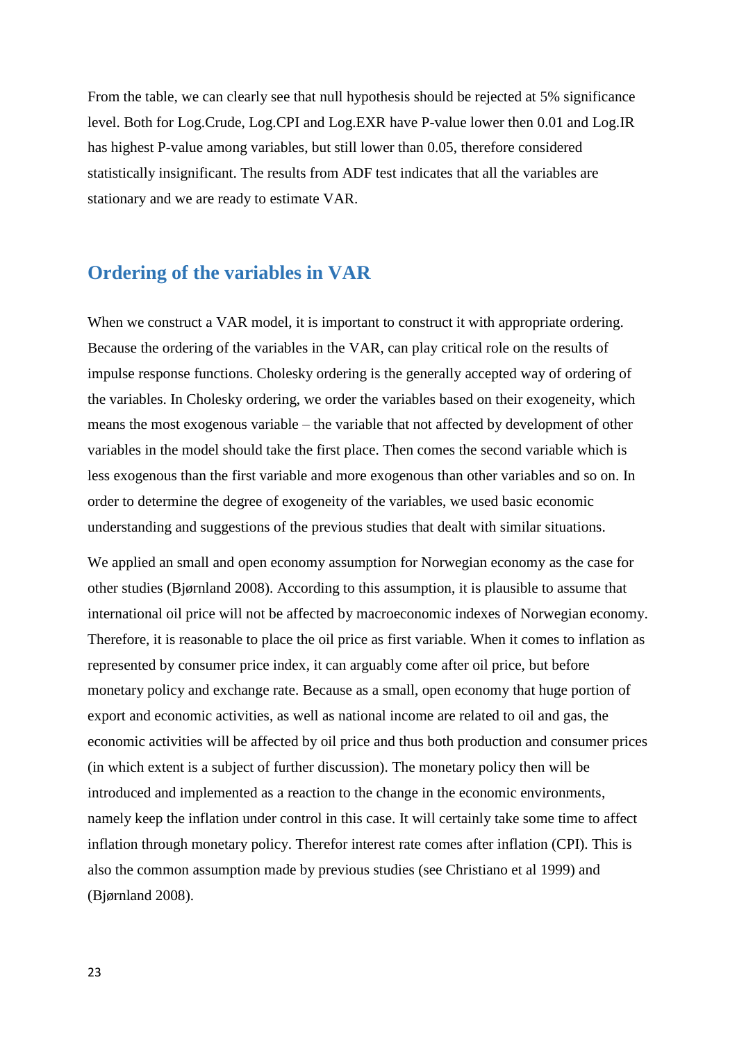From the table, we can clearly see that null hypothesis should be rejected at 5% significance level. Both for Log.Crude, Log.CPI and Log.EXR have P-value lower then 0.01 and Log.IR has highest P-value among variables, but still lower than 0.05, therefore considered statistically insignificant. The results from ADF test indicates that all the variables are stationary and we are ready to estimate VAR.

#### <span id="page-22-0"></span>**Ordering of the variables in VAR**

When we construct a VAR model, it is important to construct it with appropriate ordering. Because the ordering of the variables in the VAR, can play critical role on the results of impulse response functions. Cholesky ordering is the generally accepted way of ordering of the variables. In Cholesky ordering, we order the variables based on their exogeneity, which means the most exogenous variable – the variable that not affected by development of other variables in the model should take the first place. Then comes the second variable which is less exogenous than the first variable and more exogenous than other variables and so on. In order to determine the degree of exogeneity of the variables, we used basic economic understanding and suggestions of the previous studies that dealt with similar situations.

We applied an small and open economy assumption for Norwegian economy as the case for other studies (Bjørnland 2008). According to this assumption, it is plausible to assume that international oil price will not be affected by macroeconomic indexes of Norwegian economy. Therefore, it is reasonable to place the oil price as first variable. When it comes to inflation as represented by consumer price index, it can arguably come after oil price, but before monetary policy and exchange rate. Because as a small, open economy that huge portion of export and economic activities, as well as national income are related to oil and gas, the economic activities will be affected by oil price and thus both production and consumer prices (in which extent is a subject of further discussion). The monetary policy then will be introduced and implemented as a reaction to the change in the economic environments, namely keep the inflation under control in this case. It will certainly take some time to affect inflation through monetary policy. Therefor interest rate comes after inflation (CPI). This is also the common assumption made by previous studies (see Christiano et al 1999) and (Bjørnland 2008).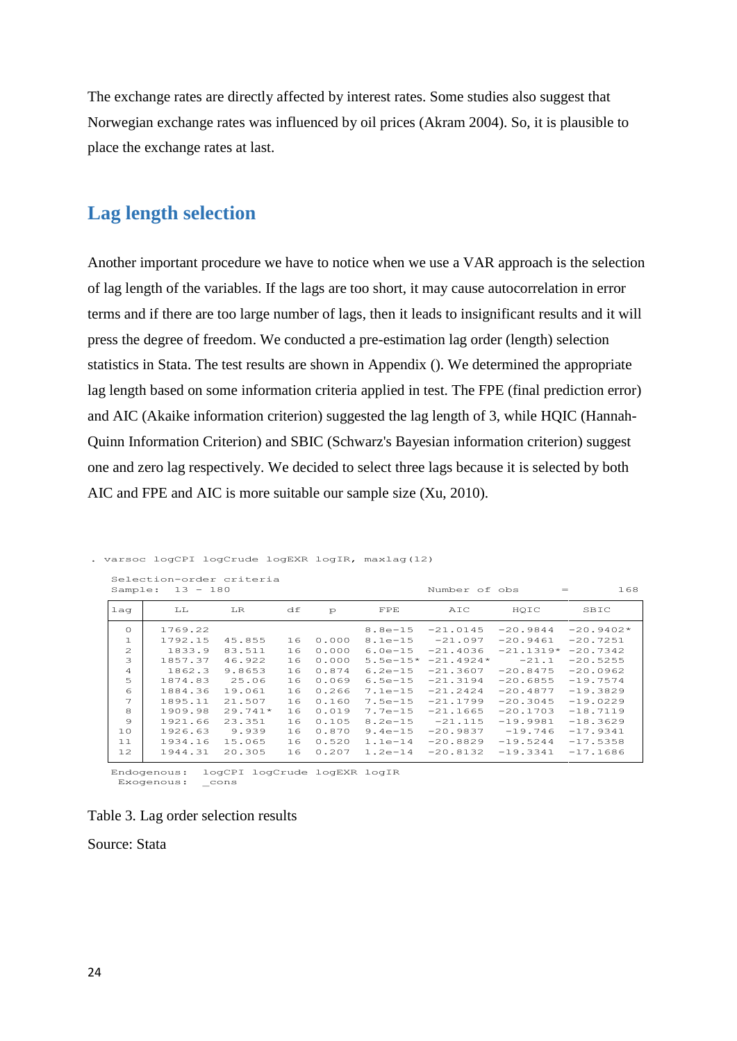The exchange rates are directly affected by interest rates. Some studies also suggest that Norwegian exchange rates was influenced by oil prices (Akram 2004). So, it is plausible to place the exchange rates at last.

#### <span id="page-23-0"></span>**Lag length selection**

Another important procedure we have to notice when we use a VAR approach is the selection of lag length of the variables. If the lags are too short, it may cause autocorrelation in error terms and if there are too large number of lags, then it leads to insignificant results and it will press the degree of freedom. We conducted a pre-estimation lag order (length) selection statistics in Stata. The test results are shown in Appendix (). We determined the appropriate lag length based on some information criteria applied in test. The FPE (final prediction error) and AIC (Akaike information criterion) suggested the lag length of 3, while HQIC (Hannah-Quinn Information Criterion) and SBIC (Schwarz's Bayesian information criterion) suggest one and zero lag respectively. We decided to select three lags because it is selected by both AIC and FPE and AIC is more suitable our sample size (Xu, 2010).

| Sample:                     | Selection-order criteria<br>$13 -$ | 180       |    |               |              | Number of obs |             | 168<br>$=$  |
|-----------------------------|------------------------------------|-----------|----|---------------|--------------|---------------|-------------|-------------|
| lag                         | LL                                 | LR.       | df | $\mathcal{P}$ | FPE          | AIC           | HOIC        | SBIC        |
| $\Omega$                    | 1769.22                            |           |    |               | $8.8e - 15$  | $-21.0145$    | $-20.9844$  | $-20.9402*$ |
| $\mathbf{1}$                | 1792.15                            | 45.855    | 16 | 0.000         | $8.1e-15$    | $-21.097$     | $-20.9461$  | $-20.7251$  |
| $\mathcal{D}_{\mathcal{A}}$ | 1833.9                             | 83.511    | 16 | 0.000         | $6.0e-15$    | $-21.4036$    | $-21.1319*$ | $-20.7342$  |
| 3                           | 1857.37                            | 46.922    | 16 | 0.000         | $5.5e - 15*$ | $-21.4924*$   | $-21.1$     | $-20.5255$  |
| 4                           | 1862.3                             | 9.8653    | 16 | 0.874         | $6.2e-15$    | $-21.3607$    | $-20.8475$  | $-20.0962$  |
| 5                           | 1874.83                            | 25.06     | 16 | 0.069         | $6.5e-15$    | $-21.3194$    | $-20.6855$  | $-19.7574$  |
| 6                           | 1884.36                            | 19.061    | 16 | 0.266         | $7.1e-15$    | $-21.2424$    | $-20.4877$  | $-19.3829$  |
| 7                           | 1895.11                            | 21.507    | 16 | 0.160         | $7.5e-15$    | $-21.1799$    | $-20.3045$  | $-19.0229$  |
| 8                           | 1909.98                            | $29.741*$ | 16 | 0.019         | $7.7e - 15$  | $-21.1665$    | $-20.1703$  | $-18.7119$  |
| 9                           | 1921.66                            | 23.351    | 16 | 0.105         | $8.2e - 15$  | $-21.115$     | $-19.9981$  | $-18.3629$  |
| 10                          | 1926.63                            | 9.939     | 16 | 0.870         | $9.4e-15$    | $-20.9837$    | $-19.746$   | $-17.9341$  |
| 11                          | 1934.16                            | 15.065    | 16 | 0.520         | $1.1e-14$    | $-20.8829$    | $-19.5244$  | $-17.5358$  |
| 12                          | 1944.31                            | 20.305    | 16 | 0.207         | $1.2e-14$    | $-20.8132$    | $-19.3341$  | $-17.1686$  |

```
. varsoc logCPI logCrude logEXR logIR, maxlag(12)
```
Endogenous: logCP<br>Exogenous: \_cons Endogenous: logCPI logCrude logEXR logIR



Source: Stata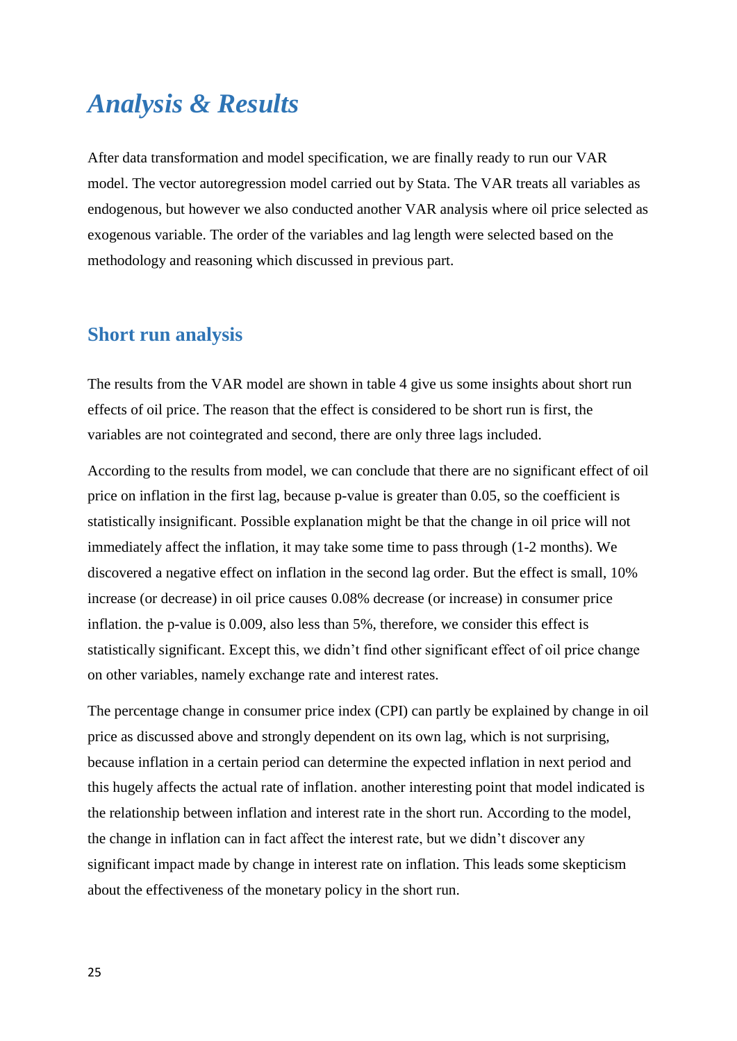## <span id="page-24-0"></span>*Analysis & Results*

After data transformation and model specification, we are finally ready to run our VAR model. The vector autoregression model carried out by Stata. The VAR treats all variables as endogenous, but however we also conducted another VAR analysis where oil price selected as exogenous variable. The order of the variables and lag length were selected based on the methodology and reasoning which discussed in previous part.

#### <span id="page-24-1"></span>**Short run analysis**

The results from the VAR model are shown in table 4 give us some insights about short run effects of oil price. The reason that the effect is considered to be short run is first, the variables are not cointegrated and second, there are only three lags included.

According to the results from model, we can conclude that there are no significant effect of oil price on inflation in the first lag, because p-value is greater than 0.05, so the coefficient is statistically insignificant. Possible explanation might be that the change in oil price will not immediately affect the inflation, it may take some time to pass through (1-2 months). We discovered a negative effect on inflation in the second lag order. But the effect is small, 10% increase (or decrease) in oil price causes 0.08% decrease (or increase) in consumer price inflation. the p-value is 0.009, also less than 5%, therefore, we consider this effect is statistically significant. Except this, we didn't find other significant effect of oil price change on other variables, namely exchange rate and interest rates.

The percentage change in consumer price index (CPI) can partly be explained by change in oil price as discussed above and strongly dependent on its own lag, which is not surprising, because inflation in a certain period can determine the expected inflation in next period and this hugely affects the actual rate of inflation. another interesting point that model indicated is the relationship between inflation and interest rate in the short run. According to the model, the change in inflation can in fact affect the interest rate, but we didn't discover any significant impact made by change in interest rate on inflation. This leads some skepticism about the effectiveness of the monetary policy in the short run.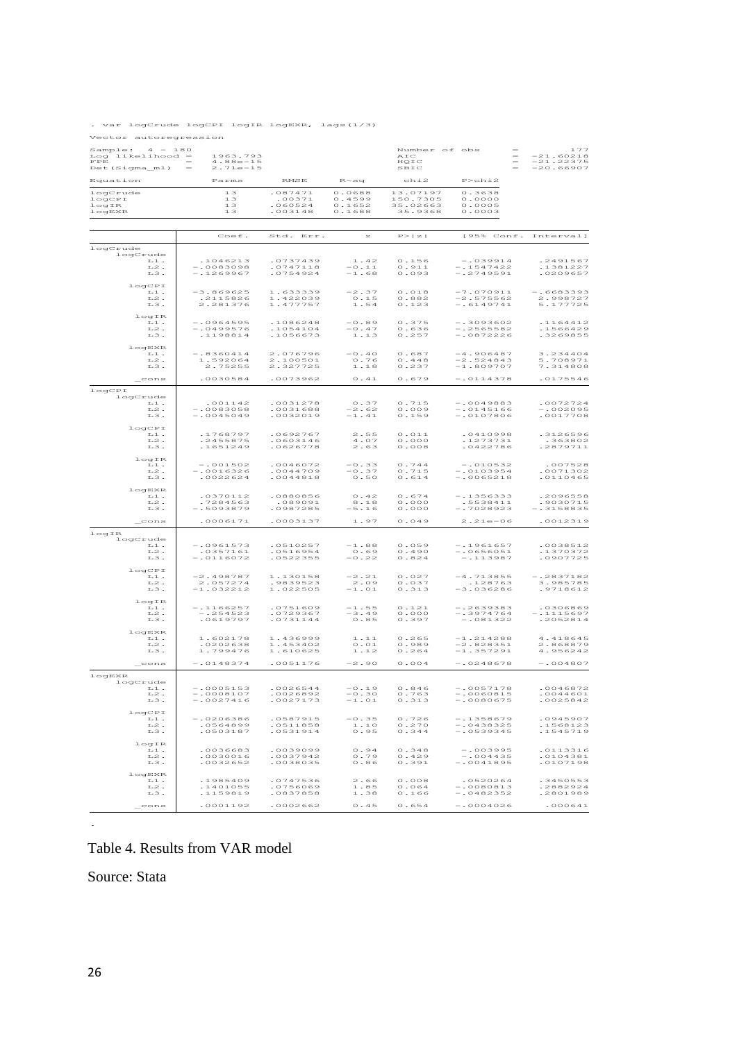. var logCrude logCPI logIR logEXR, lags(1/3)

Vector autoregression

| Sample:<br>$4 - 180$<br>Log likelihood -<br>FPE<br>Det (Sigma_ml) | 1963.793<br>$4.88e-15$<br>$2.71e-15$     |                                         |                                                 | Number of obs<br>AIC<br>HQIC<br>SBIC              |                                           | ユフフ<br>$-21.60218$<br>$-21.22375$<br>$-20.66907$ |
|-------------------------------------------------------------------|------------------------------------------|-----------------------------------------|-------------------------------------------------|---------------------------------------------------|-------------------------------------------|--------------------------------------------------|
| Equation                                                          | Parms                                    | <b>RMSE</b>                             | $R - s$ a                                       | chi2                                              | P > c h i 2                               |                                                  |
| logCrude<br>logCPI<br>logIR<br>logEXR                             | 13<br>$1.3\,$<br>13<br>13                | .087471<br>.00371<br>.060524<br>.003148 | 0.0688<br>0.4599<br>0.1652<br>0.1688            | 13.07197<br>150.7305<br>35.02663<br>35.9368       | 0.3638<br>0.0000<br>0.0005<br>0.0003      |                                                  |
|                                                                   |                                          |                                         |                                                 |                                                   |                                           |                                                  |
|                                                                   | Coef.                                    | Std. Err.                               | $\approx$                                       | P >  z                                            | [95% Conf. Interval]                      |                                                  |
| logCrude<br>logCrude<br>$1.1.$ .<br>L2.<br>L3.                    | .1046213<br>$-10083098$<br>$-1269967$    | .0737439<br>.0747118<br>.0754924        | 1.42<br>$-0.11$<br>$-1.68$                      | 0.156<br>0.911<br>0.093                           | $-0.39914$<br>$-1547422$<br>$-.2749591$   | .2491567<br>.1381227<br>.0209657                 |
| logCPI<br>L1.<br>$^{\mbox{\tiny L}2}$ .<br>L3.                    | $-3.869625$<br>.2115826<br>2.281376      | 1.633339<br>1.422039<br>1.477757        | $-2.37$<br>$\circ$ . 15<br>1.54                 | 0.018<br>0.882<br>0.123                           | $-7.070911$<br>$-2.575562$<br>$-16149741$ | $-16683393$<br>2.998727<br>5.177725              |
| logIR<br>$T - 1$ .<br>L2.<br>L3.                                  | $-10964595$<br>$-10499576$<br>.1198814   | .1086248<br>.1054104<br>.1056673        | $-0.89$<br>$-0.47$<br>$1.13$                    | 0.375<br>0.636<br>0.257                           | $-13093602$<br>$-12565582$<br>$-.0872226$ | .1164412<br>.1566429<br>.3269855                 |
| logEXR<br>$1.1$ .<br>L2.<br>L <sub>3</sub> .                      | $-18360414$<br>1.592064<br>2.75255       | 2.076796<br>2.100501<br>2.327725        | $ \circ$ . 4 $\circ$<br>$0.76$<br>1.18          | 0.687<br>$0.448$<br>0.237                         | $-4.906487$<br>$-2.524843$<br>$-1.809707$ | 3.234404<br>5.708971<br>7.314808                 |
| cons                                                              | .0030584                                 | .0073962                                | 0.41                                            | 0.679                                             | $-.0114378$                               | .0175546                                         |
| logCPI<br>logCrude<br>$1.1.$<br>$^{\mbox{\tiny L}2}$ .<br>L3.     | .001142<br>$-10083058$<br>$-0045049$     | .0031278<br>.0031688<br>.0032019        | 0.37<br>$-2.62$<br>$-1.41$                      | 0.715<br>0.009<br>0.159                           | $-10049883$<br>$-.0145166$<br>$-.0107806$ | 0072724<br>$-1002095$<br>.0017708                |
| logCPI<br>L1.<br>T.2.<br>L3.                                      | .1768797<br>.2455875<br>.1651249         | .0692767<br>.0603146<br>.0626778        | 2.55<br>4.07<br>2.63                            | $0.011$<br>0.000<br>0.008                         | .0410998<br>.1273731<br>.0422786          | .3126596<br>.363802<br>.2879711                  |
| logIR<br>L1.<br>L2.<br>L3.                                        | $-.001502$<br>$-10016326$<br>.0022624    | .0046072<br>.0044709<br>.0044818        | $-0.33$<br>$-0.37$<br>$\circ$ . $\circ$ $\circ$ | $\circ$ . 744<br>0.715<br>$0.614$                 | $-.010532$<br>$-0103954$<br>$-.0065218$   | .007528<br>.0071302<br>.0110465                  |
| logEXR<br>L1.<br>L2.<br>L3.                                       | .0370112<br>.7284563<br>$-$ .5093879     | .0880856<br>.089091<br>.0987285         | 0.42<br>8.18<br>$-5.16$                         | $0.674$<br>$\circ$ . $\circ \circ \circ$<br>0.000 | $-1356333$<br>.5538411<br>$-.7028923$     | .2096558<br>.9030715<br>$-13158835$              |
| cons                                                              | .0006171                                 | .0003137                                | 1.97                                            | 0.049                                             | $2.21e - 06$                              | .0012319                                         |
| logIR<br>logCrude<br>L1.<br>$^{\mbox{\tiny L2}}$ .<br>L3.         | $-.0961573$<br>.0357161<br>$-.0116072$   | .0510257<br>.0516954<br>.0522355        | $-1.88$<br>0.69<br>$-0.22$                      | 0.059<br>0.490<br>0.824                           | $-1.961657$<br>$- 0656051$<br>$-113987$   | .0038512<br>1370372<br>.0907725                  |
| logCPI<br>L1.<br>$1.2$ .<br>L3.<br>logIR                          | $-2.498787$<br>2.057274<br>$-1.032212$   | 1.130158<br>.9839523<br>1.022505        | $-2.21$<br>2.09<br>$-1$ . $0$ $1\,$             | 0.027<br>0.037<br>0.313                           | $-4.713855$<br>.128763<br>-3.036286       | $-.2837182$<br>3.985785<br>.9718612              |
| $1.1.$ .<br>$L2$ .<br>$L3$ .<br>logEXR                            | $-1166257$<br>$-1254523$<br>.0619797     | .0751609<br>.0729367<br>.0731144        | $-1.55$<br>$-3.49$<br>0.85                      | 0.121<br>0.000<br>0.397                           | $-.2639383$<br>$-13974764$<br>$-.081322$  | .0306869<br>$-1115697$<br>.2052814               |
| $\mathbbm{L}\,\mathbbm{1}$ .<br>$^{\mbox{\tiny L}2}$ .<br>L3.     | 1.602178<br>.0202638<br>1.799476         | 1.436999<br>1.453402<br>1.610625        | 1.11<br>$\circ$ . $\circ$ 1<br>1.12             | 0.265<br>0.989<br>0.264                           | $-1.214288$<br>$-2.828351$<br>$-1.357291$ | 4.418645<br>2.868879<br>4.956242                 |
| $\mathsf{\_}$ cons                                                | $-0148374$                               | .0051176                                | $-2.90$                                         | $0.004$                                           | $-.0248678$                               | $-1004807$                                       |
| logEXR<br>logCrude<br>L1.<br>$^{{\tt L}2}$ .<br>L3.               | $-10005153$<br>$-0008107$<br>$-.0027416$ | .0026544<br>.0026892<br>.0027173        | $-0.19$<br>$-0.30$<br>$-1.01$                   | 0.846<br>0.763<br>0.313                           | $-10057178$<br>$-10060815$<br>$-10080675$ | .0046872<br>.0044601<br>.0025842                 |
| logCPI<br>$1.1$ .<br>L2.<br>L <sub>3</sub> .                      | $-.0206386$<br>.0564899<br>.0503187      | .0587915<br>.0511858<br>0531914         | $-0.35$<br>1.10<br>0.95                         | 0.726<br>0.270<br>0.344                           | $-.1358679$<br>$-.0438325$<br>$-.0539345$ | .0945907<br>.1568123<br>.1545719                 |
| logIR<br>L1.<br>$^{{\rm L2}}$ .<br>L3.                            | .0036683<br>.0030016<br>.0032652         | .0039099<br>.0037942<br>.0038035        | 0.94<br>0.79<br>0.86                            | $0$ . 348<br>0.429<br>0.391                       | $-.003995$<br>$-004435$<br>$-.0041895$    | .0113316<br>.0104381<br>.0107198                 |
| logEXR<br>$1.1$ .<br>L2.<br>L3.                                   | .1985409<br>.1401055<br>.1159819         | .0747536<br>.0756069<br>.0837858        | 2.66<br>1.85<br>1.38                            | 0.008<br>0.064<br>0.166                           | .0520264<br>$-10080813$<br>$-.0482352$    | .3450553<br>.2882924<br>.2801989                 |
| cons                                                              | 0001192                                  | .0002662                                | 0.45                                            | 0.654                                             | $-.0004026$                               | .000641                                          |

Table 4. Results from VAR model

Source: Stata

.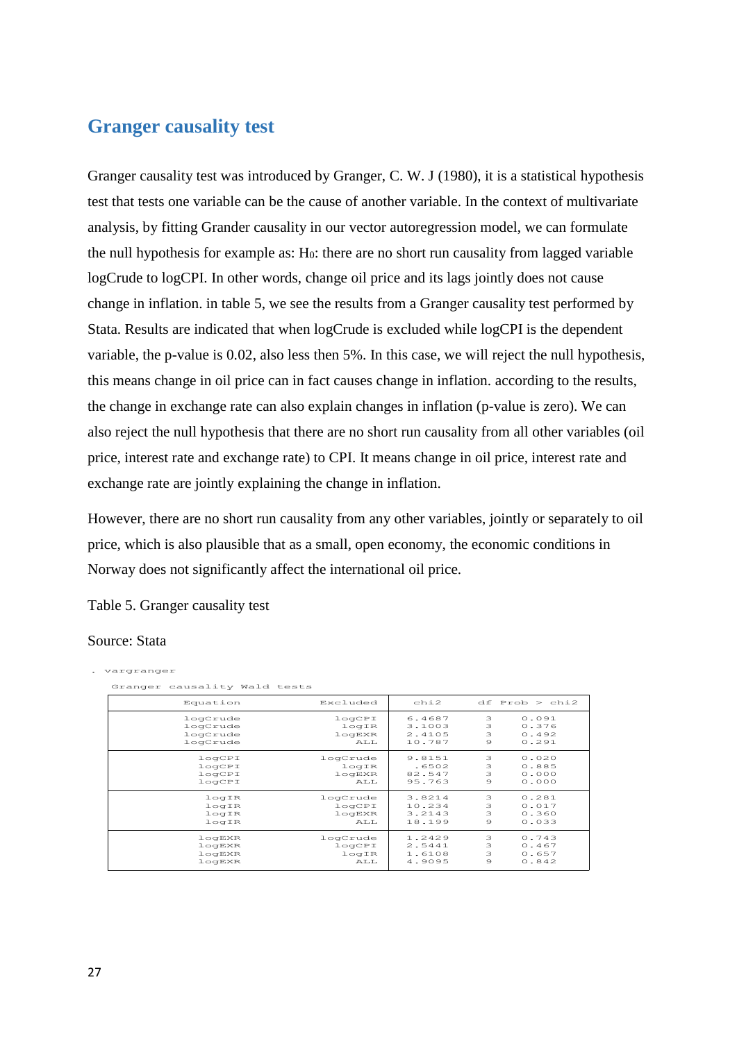#### <span id="page-26-0"></span>**Granger causality test**

Granger causality test was introduced by Granger, C. W. J (1980), it is a statistical hypothesis test that tests one variable can be the cause of another variable. In the context of multivariate analysis, by fitting Grander causality in our vector autoregression model, we can formulate the null hypothesis for example as:  $H<sub>0</sub>$ : there are no short run causality from lagged variable logCrude to logCPI. In other words, change oil price and its lags jointly does not cause change in inflation. in table 5, we see the results from a Granger causality test performed by Stata. Results are indicated that when logCrude is excluded while logCPI is the dependent variable, the p-value is 0.02, also less then 5%. In this case, we will reject the null hypothesis, this means change in oil price can in fact causes change in inflation. according to the results, the change in exchange rate can also explain changes in inflation (p-value is zero). We can also reject the null hypothesis that there are no short run causality from all other variables (oil price, interest rate and exchange rate) to CPI. It means change in oil price, interest rate and exchange rate are jointly explaining the change in inflation.

However, there are no short run causality from any other variables, jointly or separately to oil price, which is also plausible that as a small, open economy, the economic conditions in Norway does not significantly affect the international oil price.

Table 5. Granger causality test

#### Source: Stata

. vargranger

| Granger causality Wald tests |          |        |         |                    |
|------------------------------|----------|--------|---------|--------------------|
| Equation                     | Excluded | chi2   |         | $df$ Prob $>$ chi2 |
| logCrude                     | logCPI   | 6.4687 | 3       | 0.091              |
| logCrude                     | logIR    | 3.1003 | 3       | 0.376              |
| logCrude                     | logEXR   | 2.4105 | 3       | 0.492              |
| logCrude                     | AT.T.    | 10.787 | $\circ$ | 0.291              |
| logCPI                       | logCrude | 9.8151 | 3       | 0.020              |
| logCPI                       | logIR    | .6502  | 3       | 0.885              |
| logCPI                       | logEXR   | 82.547 | 3       | 0.000              |
| logCPI                       | AT.T.    | 95.763 | $\circ$ | 0.000              |
| logIR                        | logCrude | 3.8214 | 3       | 0.281              |
| logIR                        | logCPI   | 10.234 | 3       | 0.017              |
| logIR                        | logEXR   | 3.2143 | 3       | 0.360              |
| logIR                        | AT.T.    | 18.199 | $\circ$ | 0.033              |
| logEXR                       | logCrude | 1.2429 | 3       | 0.743              |
| logEXR                       | logCPI   | 2.5441 | 3       | 0.467              |
| logEXR                       | logIR    | 1.6108 | 3       | 0.657              |
| logEXR                       | AT.T.    | 4.9095 | $\circ$ | 0.842              |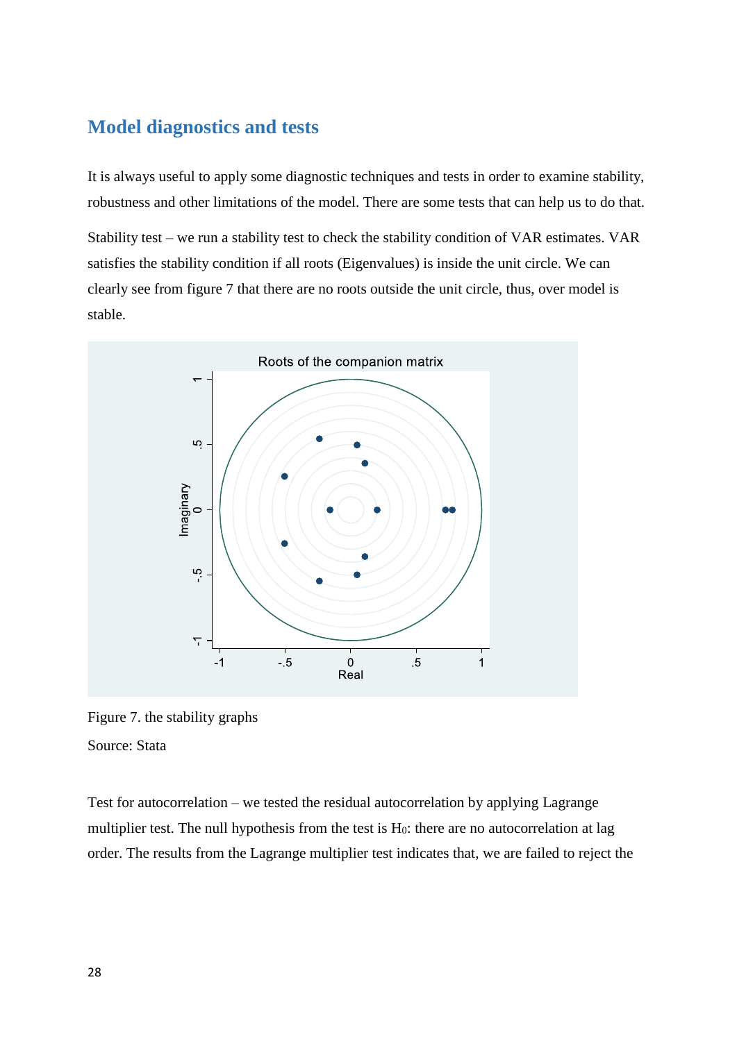#### <span id="page-27-0"></span>**Model diagnostics and tests**

It is always useful to apply some diagnostic techniques and tests in order to examine stability, robustness and other limitations of the model. There are some tests that can help us to do that.

Stability test – we run a stability test to check the stability condition of VAR estimates. VAR satisfies the stability condition if all roots (Eigenvalues) is inside the unit circle. We can clearly see from figure 7 that there are no roots outside the unit circle, thus, over model is stable.



Figure 7. the stability graphs Source: Stata

Test for autocorrelation – we tested the residual autocorrelation by applying Lagrange multiplier test. The null hypothesis from the test is  $H_0$ : there are no autocorrelation at lag order. The results from the Lagrange multiplier test indicates that, we are failed to reject the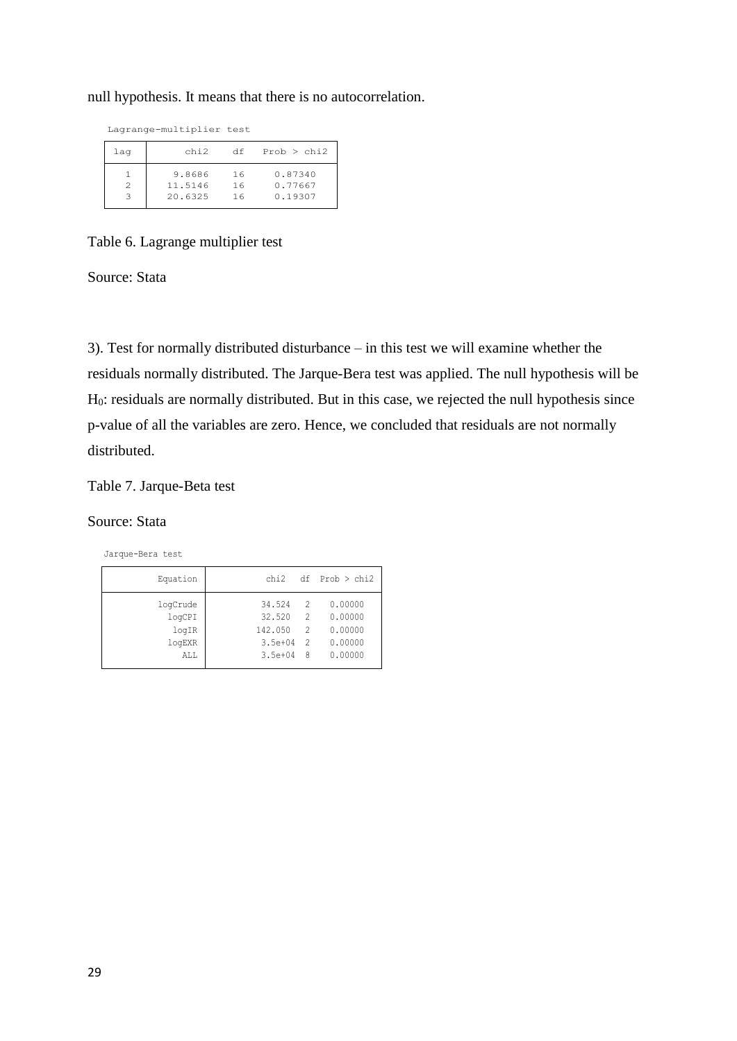null hypothesis. It means that there is no autocorrelation.

Lagrange-multiplier test

| laq | chi2    | df | Prob > chi2 |
|-----|---------|----|-------------|
|     | 9.8686  | 16 | 0.87340     |
| 2   | 11.5146 | 16 | 0.77667     |
| З   | 20.6325 | 16 | 0.19307     |
|     |         |    |             |

Table 6. Lagrange multiplier test

Source: Stata

3). Test for normally distributed disturbance – in this test we will examine whether the residuals normally distributed. The Jarque-Bera test was applied. The null hypothesis will be H0: residuals are normally distributed. But in this case, we rejected the null hypothesis since p-value of all the variables are zero. Hence, we concluded that residuals are not normally distributed.

#### Table 7. Jarque-Beta test

#### Source: Stata

Jarque-Bera test

| Equation        | chi2              |                                 | $df$ Prob $>$ chi <sub>2</sub> |
|-----------------|-------------------|---------------------------------|--------------------------------|
| logCrude        | 34.524            | 2                               | 0.00000                        |
| logCPI<br>logIR | 32.520<br>142.050 | $\overline{2}$<br>$\mathcal{P}$ | 0.00000<br>0.00000             |
| logEXR          | $3.5e + 04$       | - 2                             | 0.00000                        |
| ALL             | $3.5e + 04$       | - 8                             | 0.00000                        |
|                 |                   |                                 |                                |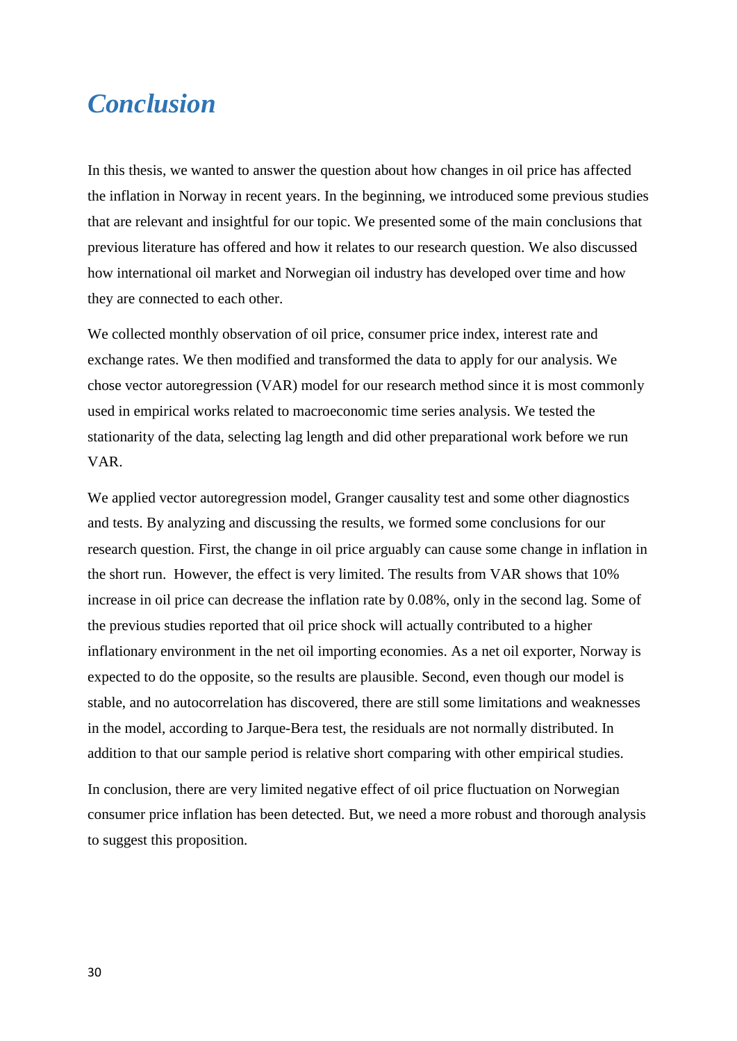### <span id="page-29-0"></span>*Conclusion*

In this thesis, we wanted to answer the question about how changes in oil price has affected the inflation in Norway in recent years. In the beginning, we introduced some previous studies that are relevant and insightful for our topic. We presented some of the main conclusions that previous literature has offered and how it relates to our research question. We also discussed how international oil market and Norwegian oil industry has developed over time and how they are connected to each other.

We collected monthly observation of oil price, consumer price index, interest rate and exchange rates. We then modified and transformed the data to apply for our analysis. We chose vector autoregression (VAR) model for our research method since it is most commonly used in empirical works related to macroeconomic time series analysis. We tested the stationarity of the data, selecting lag length and did other preparational work before we run VAR.

We applied vector autoregression model, Granger causality test and some other diagnostics and tests. By analyzing and discussing the results, we formed some conclusions for our research question. First, the change in oil price arguably can cause some change in inflation in the short run. However, the effect is very limited. The results from VAR shows that 10% increase in oil price can decrease the inflation rate by 0.08%, only in the second lag. Some of the previous studies reported that oil price shock will actually contributed to a higher inflationary environment in the net oil importing economies. As a net oil exporter, Norway is expected to do the opposite, so the results are plausible. Second, even though our model is stable, and no autocorrelation has discovered, there are still some limitations and weaknesses in the model, according to Jarque-Bera test, the residuals are not normally distributed. In addition to that our sample period is relative short comparing with other empirical studies.

In conclusion, there are very limited negative effect of oil price fluctuation on Norwegian consumer price inflation has been detected. But, we need a more robust and thorough analysis to suggest this proposition.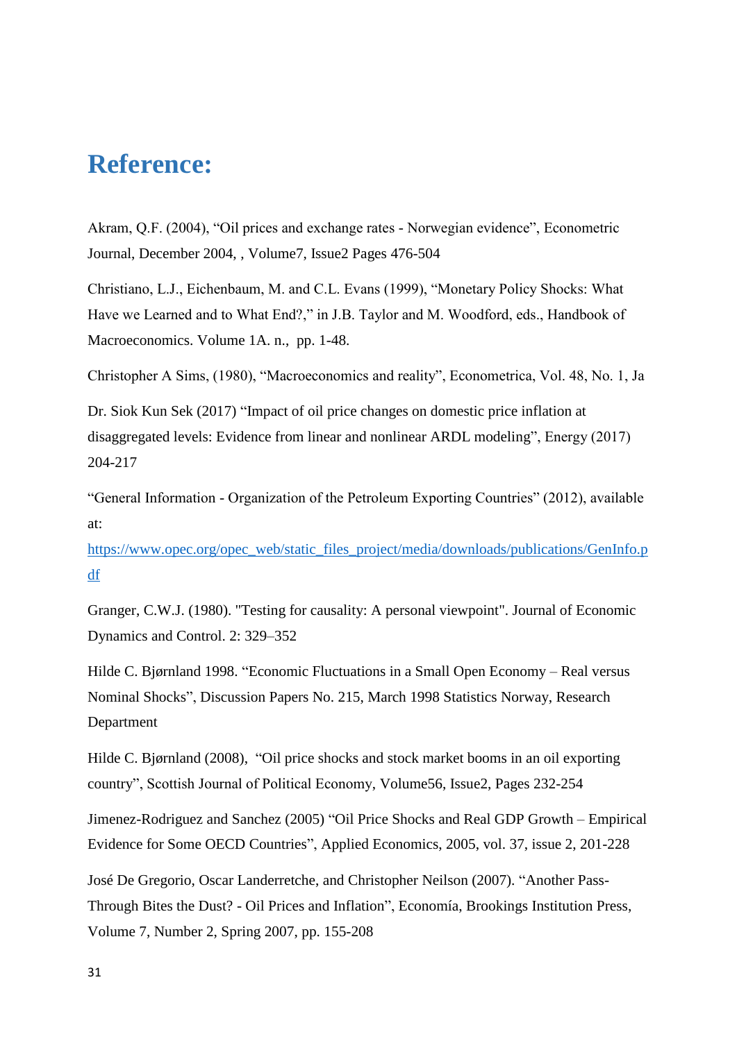## <span id="page-30-0"></span>**Reference:**

Akram, Q.F. (2004), "Oil prices and exchange rates - Norwegian evidence", Econometric Journal, December 2004, , Volume7, Issue2 Pages 476-504

Christiano, L.J., Eichenbaum, M. and C.L. Evans (1999), "Monetary Policy Shocks: What Have we Learned and to What End?," in J.B. Taylor and M. Woodford, eds., Handbook of Macroeconomics. Volume 1A. n., pp. 1-48.

Christopher A Sims, (1980), "Macroeconomics and reality", Econometrica, Vol. 48, No. 1, Ja

Dr. Siok Kun Sek (2017) "Impact of oil price changes on domestic price inflation at disaggregated levels: Evidence from linear and nonlinear ARDL modeling", Energy (2017) 204-217

"General Information - Organization of the Petroleum Exporting Countries" (2012), available at:

[https://www.opec.org/opec\\_web/static\\_files\\_project/media/downloads/publications/GenInfo.p](https://www.opec.org/opec_web/static_files_project/media/downloads/publications/GenInfo.pdf) [df](https://www.opec.org/opec_web/static_files_project/media/downloads/publications/GenInfo.pdf)

Granger, C.W.J. (1980). "Testing for causality: A personal viewpoint". Journal of Economic Dynamics and Control. 2: 329–352

Hilde C. Bjørnland 1998. "Economic Fluctuations in a Small Open Economy – Real versus Nominal Shocks", Discussion Papers No. 215, March 1998 Statistics Norway, Research Department

Hilde C. Bjørnland (2008), "Oil price shocks and stock market booms in an oil exporting country", Scottish Journal of Political Economy, Volume56, Issue2, Pages 232-254

Jimenez-Rodriguez and Sanchez (2005) "Oil Price Shocks and Real GDP Growth – Empirical Evidence for Some OECD Countries", Applied Economics, 2005, vol. 37, issue 2, 201-228

José De Gregorio, Oscar Landerretche, and Christopher Neilson (2007). "Another Pass-Through Bites the Dust? - Oil Prices and Inflation", Economía, Brookings Institution Press, Volume 7, Number 2, Spring 2007, pp. 155-208